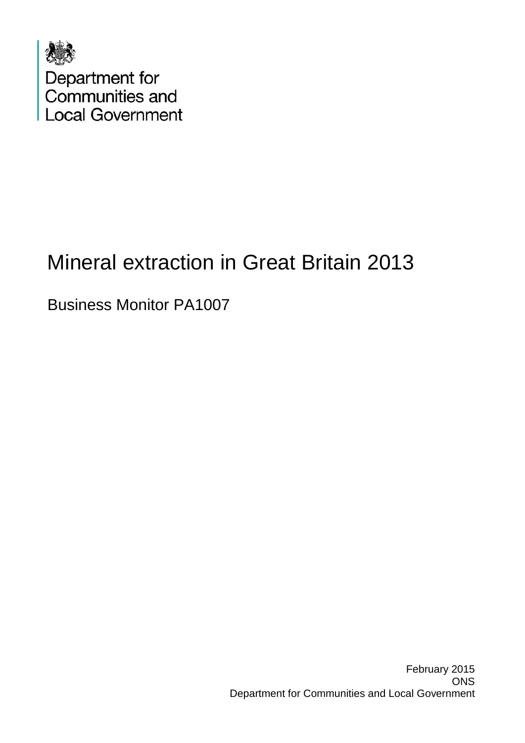

# Mineral extraction in Great Britain 2013

Business Monitor PA1007

February 2015 **ONS** Department for Communities and Local Government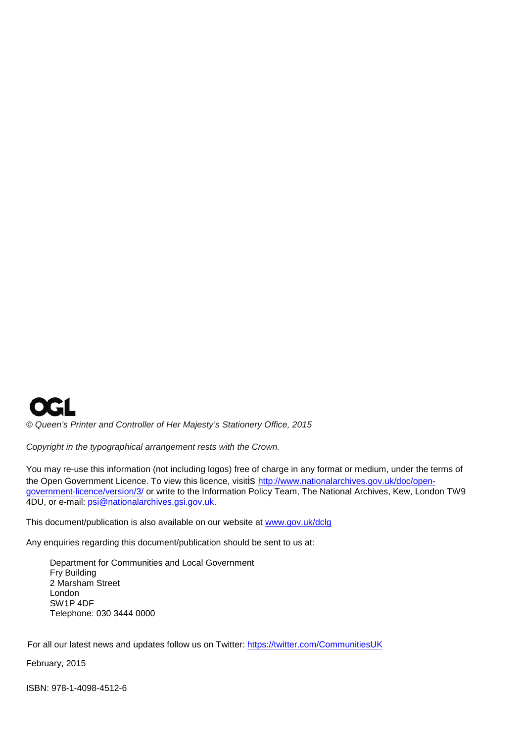

*© Queen's Printer and Controller of Her Majesty's Stationery Office, 2015*

*Copyright in the typographical arrangement rests with the Crown.*

You may re-use this information (not including logos) free of charge in any format or medium, under the terms of the Open Government Licence. To view this licence, visitis [http://www.nationalarchives.gov.uk/doc/open](http://www.nationalarchives.gov.uk/doc/open-government-licence/version/3/)[government-licence/version/3/](http://www.nationalarchives.gov.uk/doc/open-government-licence/version/3/) or write to the Information Policy Team, The National Archives, Kew, London TW9 4DU, or e-mail: [psi@nationalarchives.gsi.gov.uk.](mailto:psi@nationalarchives.gsi.gov.uk)

This document/publication is also available on our website at [www.gov.uk/dclg](http://www.gov.uk/dclg)

Any enquiries regarding this document/publication should be sent to us at:

Department for Communities and Local Government Fry Building 2 Marsham Street London SW1P 4DF Telephone: 030 3444 0000

For all our latest news and updates follow us on Twitter:<https://twitter.com/CommunitiesUK>

February, 2015

ISBN: 978-1-4098-4512-6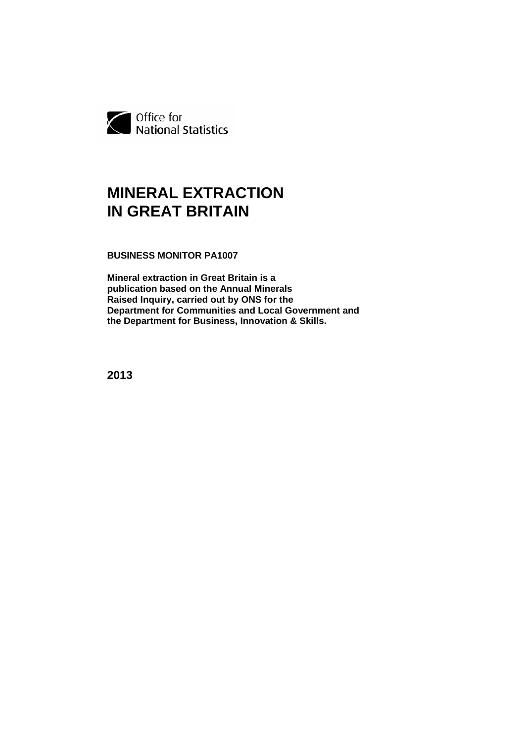

# **MINERAL EXTRACTION IN GREAT BRITAIN**

**BUSINESS MONITOR PA1007**

**Mineral extraction in Great Britain is a publication based on the Annual Minerals Raised Inquiry, carried out by ONS for the Department for Communities and Local Government and the Department for Business, Innovation & Skills.** 

**2013**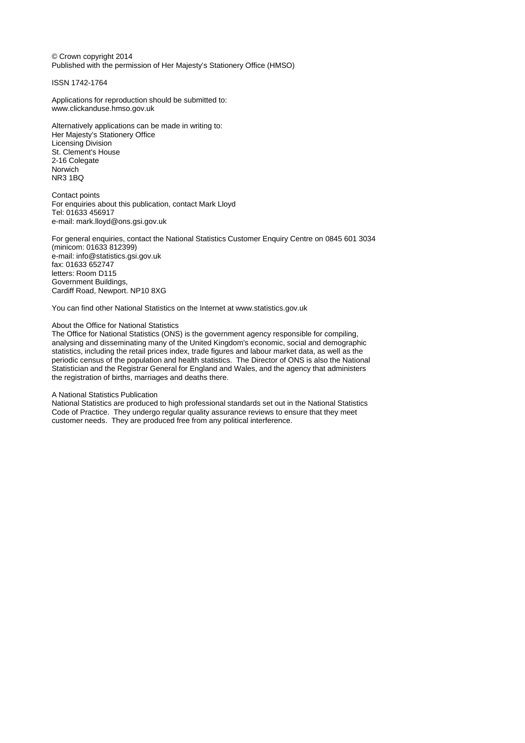© Crown copyright 2014 Published with the permission of Her Majesty's Stationery Office (HMSO)

ISSN 1742-1764

Applications for reproduction should be submitted to: www.clickanduse.hmso.gov.uk

Alternatively applications can be made in writing to: Her Majesty's Stationery Office Licensing Division St. Clement's House 2-16 Colegate Norwich NR3 1BQ

Contact points For enquiries about this publication, contact Mark Lloyd Tel: 01633 456917 e-mail: mark.lloyd@ons.gsi.gov.uk

For general enquiries, contact the National Statistics Customer Enquiry Centre on 0845 601 3034 (minicom: 01633 812399) e-mail: info@statistics.gsi.gov.uk fax: 01633 652747 letters: Room D115 Government Buildings, Cardiff Road, Newport. NP10 8XG

You can find other National Statistics on the Internet at www.statistics.gov.uk

## About the Office for National Statistics

The Office for National Statistics (ONS) is the government agency responsible for compiling, analysing and disseminating many of the United Kingdom's economic, social and demographic statistics, including the retail prices index, trade figures and labour market data, as well as the periodic census of the population and health statistics. The Director of ONS is also the National Statistician and the Registrar General for England and Wales, and the agency that administers the registration of births, marriages and deaths there.

### A National Statistics Publication

National Statistics are produced to high professional standards set out in the National Statistics Code of Practice. They undergo regular quality assurance reviews to ensure that they meet customer needs. They are produced free from any political interference.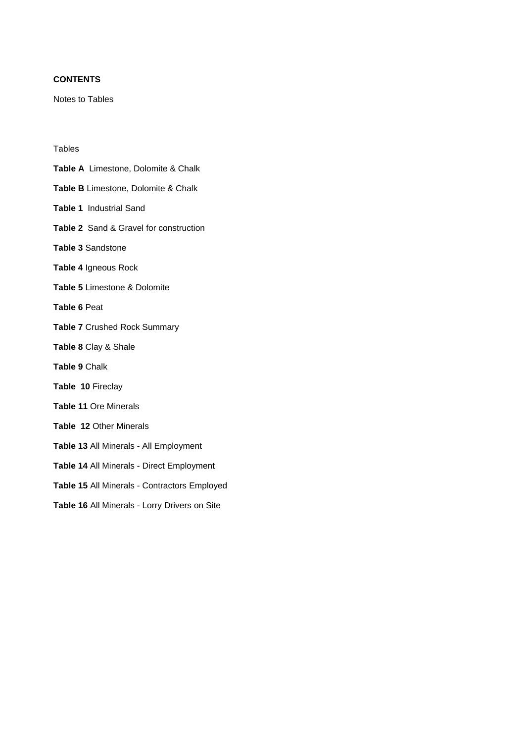# **CONTENTS**

Notes to Tables

# Tables

- **Table A** Limestone, Dolomite & Chalk
- **Table B** Limestone, Dolomite & Chalk
- **Table 1** Industrial Sand
- **Table 2** Sand & Gravel for construction
- **Table 3** Sandstone
- **Table 4** Igneous Rock
- **Table 5** Limestone & Dolomite
- **Table 6** Peat
- **Table 7** Crushed Rock Summary
- **Table 8** Clay & Shale
- **Table 9** Chalk
- **Table 10** Fireclay
- **Table 11** Ore Minerals
- **Table 12** Other Minerals
- **Table 13** All Minerals All Employment
- **Table 14** All Minerals Direct Employment
- **Table 15** All Minerals Contractors Employed
- **Table 16** All Minerals Lorry Drivers on Site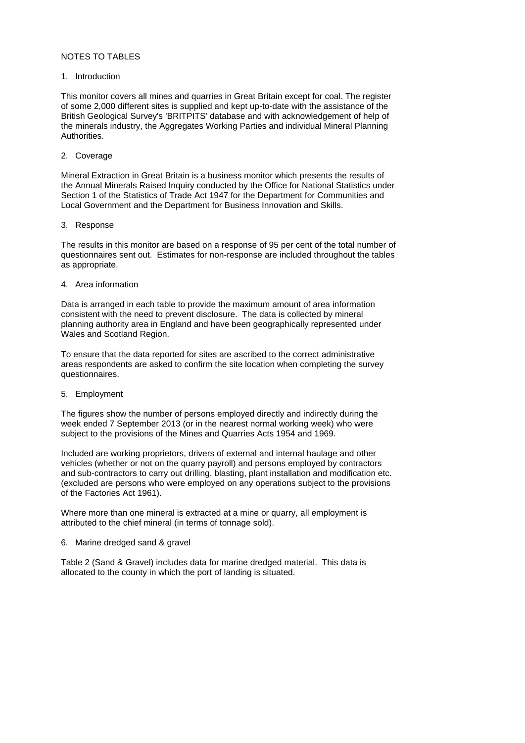# NOTES TO TABLES

## 1. Introduction

This monitor covers all mines and quarries in Great Britain except for coal. The register of some 2,000 different sites is supplied and kept up-to-date with the assistance of the British Geological Survey's 'BRITPITS' database and with acknowledgement of help of the minerals industry, the Aggregates Working Parties and individual Mineral Planning Authorities.

# 2. Coverage

Mineral Extraction in Great Britain is a business monitor which presents the results of the Annual Minerals Raised Inquiry conducted by the Office for National Statistics under Section 1 of the Statistics of Trade Act 1947 for the Department for Communities and Local Government and the Department for Business Innovation and Skills.

### 3. Response

The results in this monitor are based on a response of 95 per cent of the total number of questionnaires sent out. Estimates for non-response are included throughout the tables as appropriate.

# 4. Area information

Data is arranged in each table to provide the maximum amount of area information consistent with the need to prevent disclosure. The data is collected by mineral planning authority area in England and have been geographically represented under Wales and Scotland Region.

To ensure that the data reported for sites are ascribed to the correct administrative areas respondents are asked to confirm the site location when completing the survey questionnaires.

# 5. Employment

The figures show the number of persons employed directly and indirectly during the week ended 7 September 2013 (or in the nearest normal working week) who were subject to the provisions of the Mines and Quarries Acts 1954 and 1969.

Included are working proprietors, drivers of external and internal haulage and other vehicles (whether or not on the quarry payroll) and persons employed by contractors and sub-contractors to carry out drilling, blasting, plant installation and modification etc. (excluded are persons who were employed on any operations subject to the provisions of the Factories Act 1961).

Where more than one mineral is extracted at a mine or quarry, all employment is attributed to the chief mineral (in terms of tonnage sold).

# 6. Marine dredged sand & gravel

Table 2 (Sand & Gravel) includes data for marine dredged material. This data is allocated to the county in which the port of landing is situated.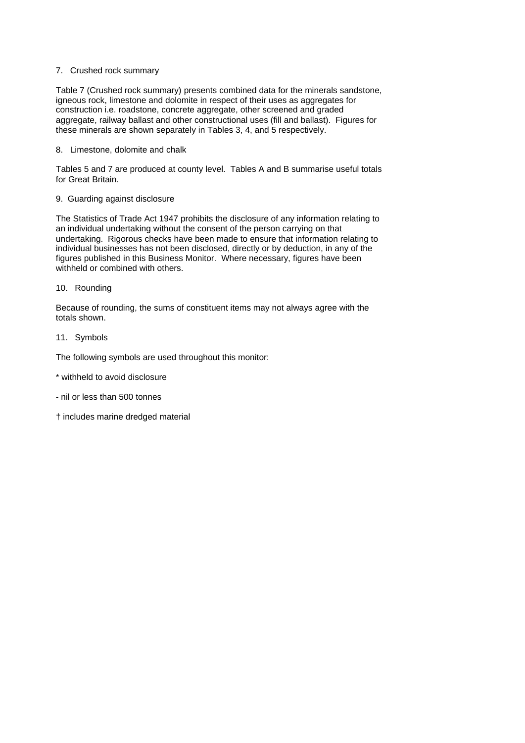# 7. Crushed rock summary

Table 7 (Crushed rock summary) presents combined data for the minerals sandstone, igneous rock, limestone and dolomite in respect of their uses as aggregates for construction i.e. roadstone, concrete aggregate, other screened and graded aggregate, railway ballast and other constructional uses (fill and ballast). Figures for these minerals are shown separately in Tables 3, 4, and 5 respectively.

# 8. Limestone, dolomite and chalk

Tables 5 and 7 are produced at county level. Tables A and B summarise useful totals for Great Britain.

# 9. Guarding against disclosure

The Statistics of Trade Act 1947 prohibits the disclosure of any information relating to an individual undertaking without the consent of the person carrying on that undertaking. Rigorous checks have been made to ensure that information relating to individual businesses has not been disclosed, directly or by deduction, in any of the figures published in this Business Monitor. Where necessary, figures have been withheld or combined with others.

### 10. Rounding

Because of rounding, the sums of constituent items may not always agree with the totals shown.

### 11. Symbols

The following symbols are used throughout this monitor:

- \* withheld to avoid disclosure
- nil or less than 500 tonnes
- † includes marine dredged material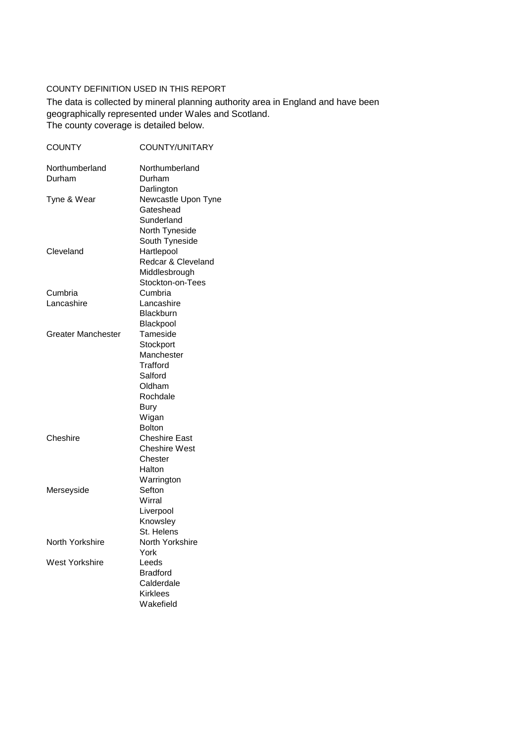# COUNTY DEFINITION USED IN THIS REPORT

The county coverage is detailed below. The data is collected by mineral planning authority area in England and have been geographically represented under Wales and Scotland.

| <b>COUNTY</b>             | COUNTY/UNITARY       |
|---------------------------|----------------------|
| Northumberland            | Northumberland       |
| Durham                    | Durham               |
|                           | Darlington           |
| Tyne & Wear               | Newcastle Upon Tyne  |
|                           | Gateshead            |
|                           | Sunderland           |
|                           | North Tyneside       |
|                           | South Tyneside       |
| Cleveland                 | Hartlepool           |
|                           | Redcar & Cleveland   |
|                           | Middlesbrough        |
|                           | Stockton-on-Tees     |
| Cumbria                   | Cumbria              |
| Lancashire                | Lancashire           |
|                           | Blackburn            |
|                           | Blackpool            |
| <b>Greater Manchester</b> | Tameside             |
|                           | Stockport            |
|                           | Manchester           |
|                           | Trafford             |
|                           | Salford              |
|                           | Oldham               |
|                           | Rochdale             |
|                           | <b>Bury</b>          |
|                           | Wigan                |
|                           | <b>Bolton</b>        |
| Cheshire                  | <b>Cheshire East</b> |
|                           | <b>Cheshire West</b> |
|                           | Chester              |
|                           | Halton               |
|                           | Warrington           |
| Merseyside                | Sefton               |
|                           | Wirral               |
|                           | Liverpool            |
|                           | Knowsley             |
|                           | St. Helens           |
| North Yorkshire           | North Yorkshire      |
|                           | York                 |
| West Yorkshire            | Leeds                |
|                           | <b>Bradford</b>      |
|                           | Calderdale           |
|                           | <b>Kirklees</b>      |
|                           | Wakefield            |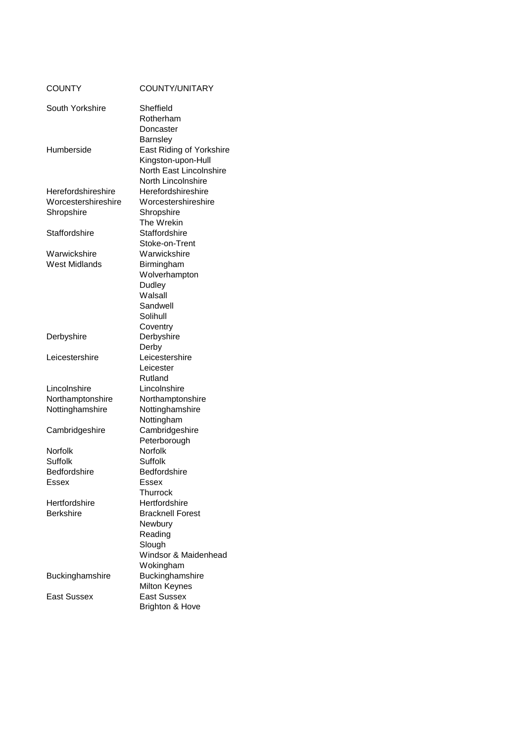| South Yorkshire<br>Sheffield<br>Rotherham<br>Doncaster<br><b>Barnsley</b><br>East Riding of Yorkshire<br>Humberside<br>Kingston-upon-Hull<br>North East Lincolnshire<br>North Lincolnshire<br>Herefordshireshire<br>Herefordshireshire<br>Worcestershireshire<br>Worcestershireshire<br>Shropshire<br>Shropshire<br>The Wrekin<br>Staffordshire<br>Staffordshire<br>Stoke-on-Trent<br>Warwickshire<br>Warwickshire<br>West Midlands<br>Birmingham<br>Wolverhampton<br>Dudley<br>Walsall<br>Sandwell<br>Solihull<br>Coventry<br>Derbyshire<br>Derbyshire<br>Derby<br>Leicestershire<br>Leicestershire<br>Leicester<br>Rutland<br>Lincolnshire<br>Lincolnshire<br>Northamptonshire<br>Northamptonshire<br>Nottinghamshire<br>Nottinghamshire<br>Nottingham<br>Cambridgeshire<br>Cambridgeshire<br>Peterborough<br><b>Norfolk</b><br><b>Norfolk</b><br><b>Suffolk</b><br>Suffolk<br><b>Bedfordshire</b><br>Bedfordshire<br>Essex<br>Essex<br>Thurrock<br>Hertfordshire<br>Hertfordshire<br><b>Berkshire</b><br><b>Bracknell Forest</b><br>Newbury<br>Reading<br>Slough<br>Windsor & Maidenhead<br>Wokingham<br>Buckinghamshire<br>Buckinghamshire<br><b>Milton Keynes</b><br><b>East Sussex</b><br>East Sussex | <b>COUNTY</b> | COUNTY/UNITARY             |
|-------------------------------------------------------------------------------------------------------------------------------------------------------------------------------------------------------------------------------------------------------------------------------------------------------------------------------------------------------------------------------------------------------------------------------------------------------------------------------------------------------------------------------------------------------------------------------------------------------------------------------------------------------------------------------------------------------------------------------------------------------------------------------------------------------------------------------------------------------------------------------------------------------------------------------------------------------------------------------------------------------------------------------------------------------------------------------------------------------------------------------------------------------------------------------------------------------------|---------------|----------------------------|
|                                                                                                                                                                                                                                                                                                                                                                                                                                                                                                                                                                                                                                                                                                                                                                                                                                                                                                                                                                                                                                                                                                                                                                                                             |               |                            |
|                                                                                                                                                                                                                                                                                                                                                                                                                                                                                                                                                                                                                                                                                                                                                                                                                                                                                                                                                                                                                                                                                                                                                                                                             |               |                            |
|                                                                                                                                                                                                                                                                                                                                                                                                                                                                                                                                                                                                                                                                                                                                                                                                                                                                                                                                                                                                                                                                                                                                                                                                             |               |                            |
|                                                                                                                                                                                                                                                                                                                                                                                                                                                                                                                                                                                                                                                                                                                                                                                                                                                                                                                                                                                                                                                                                                                                                                                                             |               |                            |
|                                                                                                                                                                                                                                                                                                                                                                                                                                                                                                                                                                                                                                                                                                                                                                                                                                                                                                                                                                                                                                                                                                                                                                                                             |               |                            |
|                                                                                                                                                                                                                                                                                                                                                                                                                                                                                                                                                                                                                                                                                                                                                                                                                                                                                                                                                                                                                                                                                                                                                                                                             |               |                            |
|                                                                                                                                                                                                                                                                                                                                                                                                                                                                                                                                                                                                                                                                                                                                                                                                                                                                                                                                                                                                                                                                                                                                                                                                             |               |                            |
|                                                                                                                                                                                                                                                                                                                                                                                                                                                                                                                                                                                                                                                                                                                                                                                                                                                                                                                                                                                                                                                                                                                                                                                                             |               |                            |
|                                                                                                                                                                                                                                                                                                                                                                                                                                                                                                                                                                                                                                                                                                                                                                                                                                                                                                                                                                                                                                                                                                                                                                                                             |               |                            |
|                                                                                                                                                                                                                                                                                                                                                                                                                                                                                                                                                                                                                                                                                                                                                                                                                                                                                                                                                                                                                                                                                                                                                                                                             |               |                            |
|                                                                                                                                                                                                                                                                                                                                                                                                                                                                                                                                                                                                                                                                                                                                                                                                                                                                                                                                                                                                                                                                                                                                                                                                             |               |                            |
|                                                                                                                                                                                                                                                                                                                                                                                                                                                                                                                                                                                                                                                                                                                                                                                                                                                                                                                                                                                                                                                                                                                                                                                                             |               |                            |
|                                                                                                                                                                                                                                                                                                                                                                                                                                                                                                                                                                                                                                                                                                                                                                                                                                                                                                                                                                                                                                                                                                                                                                                                             |               |                            |
|                                                                                                                                                                                                                                                                                                                                                                                                                                                                                                                                                                                                                                                                                                                                                                                                                                                                                                                                                                                                                                                                                                                                                                                                             |               |                            |
|                                                                                                                                                                                                                                                                                                                                                                                                                                                                                                                                                                                                                                                                                                                                                                                                                                                                                                                                                                                                                                                                                                                                                                                                             |               |                            |
|                                                                                                                                                                                                                                                                                                                                                                                                                                                                                                                                                                                                                                                                                                                                                                                                                                                                                                                                                                                                                                                                                                                                                                                                             |               |                            |
|                                                                                                                                                                                                                                                                                                                                                                                                                                                                                                                                                                                                                                                                                                                                                                                                                                                                                                                                                                                                                                                                                                                                                                                                             |               |                            |
|                                                                                                                                                                                                                                                                                                                                                                                                                                                                                                                                                                                                                                                                                                                                                                                                                                                                                                                                                                                                                                                                                                                                                                                                             |               |                            |
|                                                                                                                                                                                                                                                                                                                                                                                                                                                                                                                                                                                                                                                                                                                                                                                                                                                                                                                                                                                                                                                                                                                                                                                                             |               |                            |
|                                                                                                                                                                                                                                                                                                                                                                                                                                                                                                                                                                                                                                                                                                                                                                                                                                                                                                                                                                                                                                                                                                                                                                                                             |               |                            |
|                                                                                                                                                                                                                                                                                                                                                                                                                                                                                                                                                                                                                                                                                                                                                                                                                                                                                                                                                                                                                                                                                                                                                                                                             |               |                            |
|                                                                                                                                                                                                                                                                                                                                                                                                                                                                                                                                                                                                                                                                                                                                                                                                                                                                                                                                                                                                                                                                                                                                                                                                             |               |                            |
|                                                                                                                                                                                                                                                                                                                                                                                                                                                                                                                                                                                                                                                                                                                                                                                                                                                                                                                                                                                                                                                                                                                                                                                                             |               |                            |
|                                                                                                                                                                                                                                                                                                                                                                                                                                                                                                                                                                                                                                                                                                                                                                                                                                                                                                                                                                                                                                                                                                                                                                                                             |               |                            |
|                                                                                                                                                                                                                                                                                                                                                                                                                                                                                                                                                                                                                                                                                                                                                                                                                                                                                                                                                                                                                                                                                                                                                                                                             |               |                            |
|                                                                                                                                                                                                                                                                                                                                                                                                                                                                                                                                                                                                                                                                                                                                                                                                                                                                                                                                                                                                                                                                                                                                                                                                             |               |                            |
|                                                                                                                                                                                                                                                                                                                                                                                                                                                                                                                                                                                                                                                                                                                                                                                                                                                                                                                                                                                                                                                                                                                                                                                                             |               |                            |
|                                                                                                                                                                                                                                                                                                                                                                                                                                                                                                                                                                                                                                                                                                                                                                                                                                                                                                                                                                                                                                                                                                                                                                                                             |               |                            |
|                                                                                                                                                                                                                                                                                                                                                                                                                                                                                                                                                                                                                                                                                                                                                                                                                                                                                                                                                                                                                                                                                                                                                                                                             |               |                            |
|                                                                                                                                                                                                                                                                                                                                                                                                                                                                                                                                                                                                                                                                                                                                                                                                                                                                                                                                                                                                                                                                                                                                                                                                             |               |                            |
|                                                                                                                                                                                                                                                                                                                                                                                                                                                                                                                                                                                                                                                                                                                                                                                                                                                                                                                                                                                                                                                                                                                                                                                                             |               |                            |
|                                                                                                                                                                                                                                                                                                                                                                                                                                                                                                                                                                                                                                                                                                                                                                                                                                                                                                                                                                                                                                                                                                                                                                                                             |               |                            |
|                                                                                                                                                                                                                                                                                                                                                                                                                                                                                                                                                                                                                                                                                                                                                                                                                                                                                                                                                                                                                                                                                                                                                                                                             |               |                            |
|                                                                                                                                                                                                                                                                                                                                                                                                                                                                                                                                                                                                                                                                                                                                                                                                                                                                                                                                                                                                                                                                                                                                                                                                             |               |                            |
|                                                                                                                                                                                                                                                                                                                                                                                                                                                                                                                                                                                                                                                                                                                                                                                                                                                                                                                                                                                                                                                                                                                                                                                                             |               |                            |
|                                                                                                                                                                                                                                                                                                                                                                                                                                                                                                                                                                                                                                                                                                                                                                                                                                                                                                                                                                                                                                                                                                                                                                                                             |               |                            |
|                                                                                                                                                                                                                                                                                                                                                                                                                                                                                                                                                                                                                                                                                                                                                                                                                                                                                                                                                                                                                                                                                                                                                                                                             |               |                            |
|                                                                                                                                                                                                                                                                                                                                                                                                                                                                                                                                                                                                                                                                                                                                                                                                                                                                                                                                                                                                                                                                                                                                                                                                             |               |                            |
|                                                                                                                                                                                                                                                                                                                                                                                                                                                                                                                                                                                                                                                                                                                                                                                                                                                                                                                                                                                                                                                                                                                                                                                                             |               |                            |
|                                                                                                                                                                                                                                                                                                                                                                                                                                                                                                                                                                                                                                                                                                                                                                                                                                                                                                                                                                                                                                                                                                                                                                                                             |               |                            |
|                                                                                                                                                                                                                                                                                                                                                                                                                                                                                                                                                                                                                                                                                                                                                                                                                                                                                                                                                                                                                                                                                                                                                                                                             |               |                            |
|                                                                                                                                                                                                                                                                                                                                                                                                                                                                                                                                                                                                                                                                                                                                                                                                                                                                                                                                                                                                                                                                                                                                                                                                             |               |                            |
|                                                                                                                                                                                                                                                                                                                                                                                                                                                                                                                                                                                                                                                                                                                                                                                                                                                                                                                                                                                                                                                                                                                                                                                                             |               |                            |
|                                                                                                                                                                                                                                                                                                                                                                                                                                                                                                                                                                                                                                                                                                                                                                                                                                                                                                                                                                                                                                                                                                                                                                                                             |               |                            |
|                                                                                                                                                                                                                                                                                                                                                                                                                                                                                                                                                                                                                                                                                                                                                                                                                                                                                                                                                                                                                                                                                                                                                                                                             |               |                            |
|                                                                                                                                                                                                                                                                                                                                                                                                                                                                                                                                                                                                                                                                                                                                                                                                                                                                                                                                                                                                                                                                                                                                                                                                             |               |                            |
|                                                                                                                                                                                                                                                                                                                                                                                                                                                                                                                                                                                                                                                                                                                                                                                                                                                                                                                                                                                                                                                                                                                                                                                                             |               |                            |
|                                                                                                                                                                                                                                                                                                                                                                                                                                                                                                                                                                                                                                                                                                                                                                                                                                                                                                                                                                                                                                                                                                                                                                                                             |               |                            |
|                                                                                                                                                                                                                                                                                                                                                                                                                                                                                                                                                                                                                                                                                                                                                                                                                                                                                                                                                                                                                                                                                                                                                                                                             |               |                            |
|                                                                                                                                                                                                                                                                                                                                                                                                                                                                                                                                                                                                                                                                                                                                                                                                                                                                                                                                                                                                                                                                                                                                                                                                             |               | <b>Brighton &amp; Hove</b> |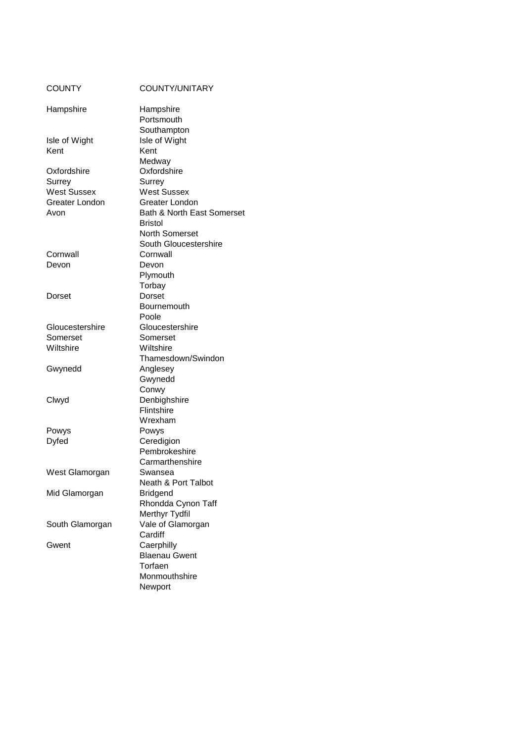| COUNTY             | COUNTY/UNITARY                     |
|--------------------|------------------------------------|
| Hampshire          | Hampshire                          |
|                    | Portsmouth                         |
|                    | Southampton                        |
| Isle of Wight      | Isle of Wight                      |
| Kent               | Kent                               |
|                    | Medway                             |
| Oxfordshire        | Oxfordshire                        |
| Surrey             | Surrey                             |
| <b>West Sussex</b> | <b>West Sussex</b>                 |
| Greater London     | Greater London                     |
| Avon               | Bath & North East Somerset         |
|                    | <b>Bristol</b>                     |
|                    | <b>North Somerset</b>              |
|                    | South Gloucestershire              |
| Cornwall           | Cornwall                           |
| Devon              | Devon                              |
|                    | Plymouth                           |
|                    | Torbay                             |
| Dorset             | Dorset                             |
|                    | Bournemouth                        |
|                    | Poole                              |
| Gloucestershire    | Gloucestershire                    |
| Somerset           | Somerset                           |
| Wiltshire          | Wiltshire                          |
|                    | Thamesdown/Swindon                 |
| Gwynedd            | Anglesey                           |
|                    | Gwynedd                            |
|                    | Conwy                              |
| Clwyd              | Denbighshire                       |
|                    | Flintshire                         |
|                    | Wrexham                            |
| Powys              | Powys                              |
| Dyfed              | Ceredigion                         |
|                    | Pembrokeshire                      |
|                    | Carmarthenshire                    |
| West Glamorgan     | Swansea                            |
|                    | <b>Neath &amp; Port Talbot</b>     |
| Mid Glamorgan      | <b>Bridgend</b>                    |
|                    | Rhondda Cynon Taff                 |
|                    | Merthyr Tydfil                     |
| South Glamorgan    | Vale of Glamorgan                  |
|                    | Cardiff                            |
| Gwent              | Caerphilly<br><b>Blaenau Gwent</b> |
|                    | Torfaen                            |
|                    |                                    |
|                    | Monmouthshire                      |
|                    | Newport                            |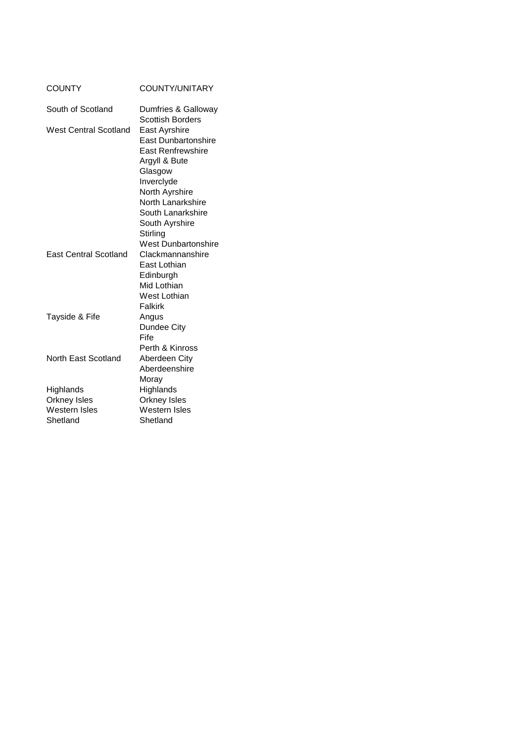| <b>COUNTY/UNITARY</b>                                                                                                                                                                                                      |
|----------------------------------------------------------------------------------------------------------------------------------------------------------------------------------------------------------------------------|
| Dumfries & Galloway                                                                                                                                                                                                        |
| <b>Scottish Borders</b><br>East Ayrshire<br><b>East Dunbartonshire</b><br><b>East Renfrewshire</b><br>Argyll & Bute<br>Glasgow<br>Inverclyde<br>North Ayrshire<br>North Lanarkshire<br>South Lanarkshire<br>South Ayrshire |
| Stirling<br><b>West Dunbartonshire</b>                                                                                                                                                                                     |
| Clackmannanshire<br>East Lothian<br>Edinburgh<br>Mid Lothian<br>West Lothian<br>Falkirk                                                                                                                                    |
| Angus<br>Dundee City<br>Fife<br>Perth & Kinross                                                                                                                                                                            |
| Aberdeen City<br>Aberdeenshire<br>Moray                                                                                                                                                                                    |
| Highlands<br>Orkney Isles<br>Western Isles<br>Shetland                                                                                                                                                                     |
|                                                                                                                                                                                                                            |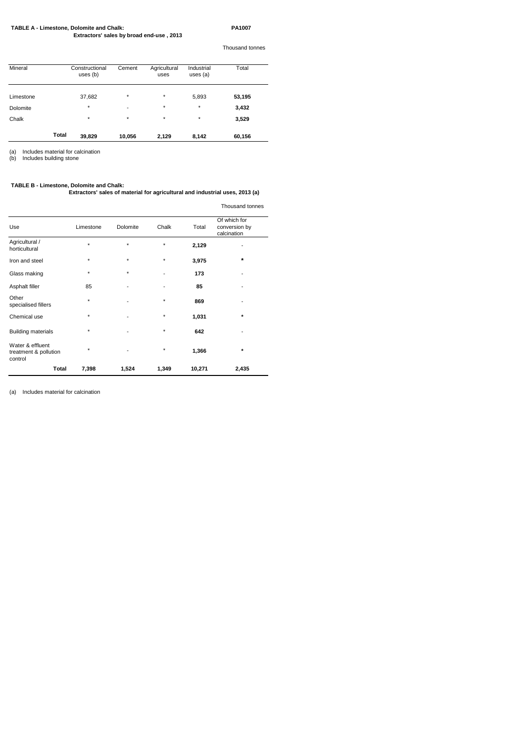## **TABLE A - Limestone, Dolomite and Chalk: PA1007**

 **Extractors' sales by broad end-use , 2013**

Thousand tonnes

| Mineral   |              | Constructional<br>uses $(b)$ | Cement  | Agricultural<br>uses | Industrial<br>uses $(a)$ | Total  |
|-----------|--------------|------------------------------|---------|----------------------|--------------------------|--------|
| Limestone |              | 37,682                       | $\star$ | $\star$              | 5,893                    | 53,195 |
| Dolomite  |              | *                            | ٠       | $\star$              | $\star$                  | 3,432  |
| Chalk     |              | *                            | $\star$ | $\star$              | $\star$                  | 3,529  |
|           | <b>Total</b> | 39,829                       | 10,056  | 2,129                | 8,142                    | 60,156 |

(a) Includes material for calcination

(b) Includes building stone

## **TABLE B - Limestone, Dolomite and Chalk:**

**Extractors' sales of material for agricultural and industrial uses, 2013 (a)**

# Thousand tonnes

|                                                      |           |          |         |        | <b>THOUGH IG TOITING</b>                     |
|------------------------------------------------------|-----------|----------|---------|--------|----------------------------------------------|
| Use                                                  | Limestone | Dolomite | Chalk   | Total  | Of which for<br>conversion by<br>calcination |
| Agricultural /<br>horticultural                      | $\star$   | $\star$  | $\star$ | 2,129  |                                              |
| Iron and steel                                       | $\star$   | $\star$  | $\star$ | 3,975  | *                                            |
| Glass making                                         | $\star$   | $\star$  | -       | 173    | ٠                                            |
| Asphalt filler                                       | 85        |          | -       | 85     |                                              |
| Other<br>specialised fillers                         | $\star$   |          | $\star$ | 869    |                                              |
| Chemical use                                         | $\ast$    |          | $\star$ | 1,031  | $\star$                                      |
| <b>Building materials</b>                            | *         |          | $\star$ | 642    |                                              |
| Water & effluent<br>treatment & pollution<br>control | *         |          | $\star$ | 1,366  | $\star$                                      |
| <b>Total</b>                                         | 7,398     | 1,524    | 1,349   | 10,271 | 2,435                                        |

(a) Includes material for calcination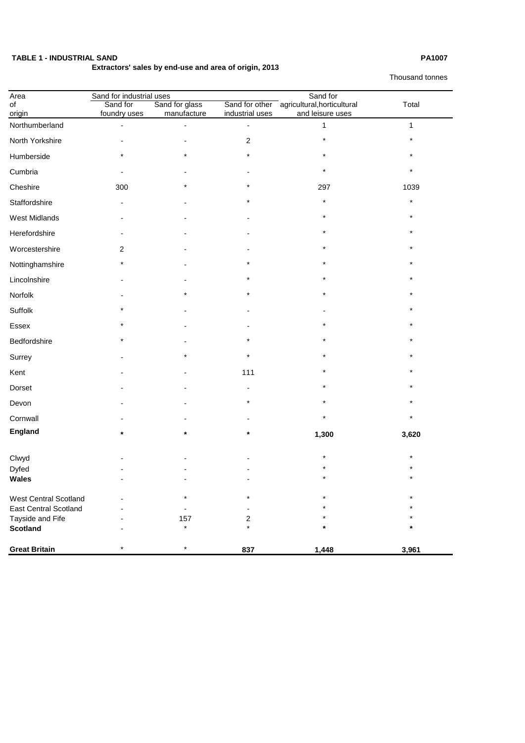# **TABLE 1 - INDUSTRIAL SAND PA1007**

# **Extractors' sales by end-use and area of origin, 2013**

Thousand tonnes

| Area                         | Sand for industrial uses |                               |                          | Sand for                                                       |          |
|------------------------------|--------------------------|-------------------------------|--------------------------|----------------------------------------------------------------|----------|
| of                           | Sand for<br>foundry uses | Sand for glass<br>manufacture | industrial uses          | Sand for other agricultural, horticultural<br>and leisure uses | Total    |
| origin<br>Northumberland     |                          |                               |                          | 1                                                              | 1        |
| North Yorkshire              |                          |                               | 2                        | $\star$                                                        | $\star$  |
| Humberside                   | $\star$                  |                               | $\star$                  | $\star$                                                        | $\star$  |
| Cumbria                      |                          |                               |                          | $\star$                                                        | $\star$  |
| Cheshire                     | 300                      |                               | $\star$                  | 297                                                            | 1039     |
| Staffordshire                | $\blacksquare$           |                               | $^\star$                 | $\star$                                                        | $\star$  |
| <b>West Midlands</b>         | $\blacksquare$           |                               |                          | $^\star$                                                       | $\star$  |
| Herefordshire                | $\blacksquare$           |                               |                          | $\star$                                                        | $\star$  |
| Worcestershire               | $\overline{2}$           |                               |                          |                                                                |          |
| Nottinghamshire              | $\star$                  |                               | $^\star$                 | $\star$                                                        | $\star$  |
| Lincolnshire                 |                          |                               | *                        | $^\star$                                                       |          |
| Norfolk                      |                          |                               | $\star$                  | $\star$                                                        | $\star$  |
| Suffolk                      | $\star$                  |                               |                          |                                                                | $\star$  |
| Essex                        | $\star$                  |                               |                          | $\star$                                                        | $\star$  |
| Bedfordshire                 |                          |                               |                          | $\star$                                                        | $\star$  |
| Surrey                       |                          | $\star$                       | $\star$                  | $\ast$                                                         | $\star$  |
| Kent                         | $\blacksquare$           |                               | 111                      | *                                                              | $^\star$ |
| Dorset                       | $\blacksquare$           |                               | $\overline{\phantom{a}}$ | $\star$                                                        | $\star$  |
| Devon                        | $\overline{\phantom{a}}$ |                               | $\star$                  | $\star$                                                        | $\star$  |
| Cornwall                     |                          |                               |                          | $\star$                                                        | $\star$  |
| <b>England</b>               | $\star$                  | $\star$                       | $\star$                  | 1,300                                                          | 3,620    |
|                              |                          |                               |                          | $\star$                                                        | $\star$  |
| Clwyd<br><b>Dyfed</b>        |                          |                               |                          | $\star$                                                        | $\star$  |
| <b>Wales</b>                 |                          |                               |                          | $\ast$                                                         | $\star$  |
| <b>West Central Scotland</b> |                          | $^\star$                      | $\star$                  | $\star$                                                        | $\star$  |
| <b>East Central Scotland</b> |                          |                               |                          | $^\star$                                                       | $\star$  |
| Tayside and Fife             |                          | 157                           | 2                        | $^\star$                                                       |          |
| <b>Scotland</b>              |                          | $\star$                       | $\star$                  | $\star$                                                        | $\star$  |
| <b>Great Britain</b>         | $\star$                  | $\star$                       | 837                      | 1,448                                                          | 3,961    |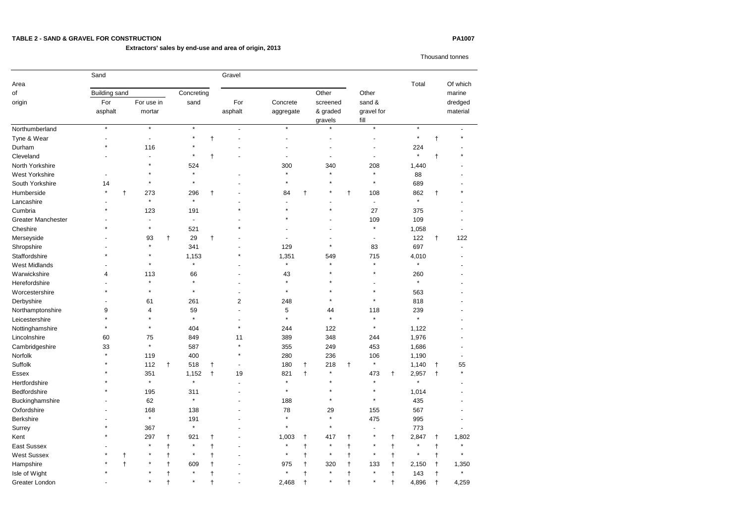# **TABLE 2 - SAND & GRAVEL FOR CONSTRUCTION PA1007**

# **Extractors' sales by end-use and area of origin, 2013**

Thousand tonnes

|                           | Sand    |                      |            |              |                    |                 | Gravel                   |           |              |                     |            |                              |  |         |              |                    |  |
|---------------------------|---------|----------------------|------------|--------------|--------------------|-----------------|--------------------------|-----------|--------------|---------------------|------------|------------------------------|--|---------|--------------|--------------------|--|
| Area<br>of                |         | <b>Building sand</b> |            |              |                    |                 |                          |           |              |                     |            | Other                        |  | Total   |              | Of which<br>marine |  |
| origin                    | For     |                      | For use in |              | Concreting<br>sand |                 | For                      | Concrete  |              | Other<br>screened   |            |                              |  |         |              | dredged            |  |
|                           | asphalt |                      | mortar     |              |                    |                 | asphalt                  | aggregate |              | & graded<br>gravels |            | sand &<br>gravel for<br>fill |  |         |              | material           |  |
| Northumberland            | $\star$ |                      | $\star$    |              | $\star$            |                 | ÷.                       | $\star$   |              | $\star$             |            | $\star$                      |  | $\star$ |              |                    |  |
| Tyne & Wear               |         |                      | ۰          |              |                    |                 |                          |           |              |                     |            |                              |  |         |              | $\star$            |  |
| Durham                    |         |                      | 116        |              |                    |                 |                          |           |              |                     |            |                              |  | 224     |              |                    |  |
| Cleveland                 |         |                      |            |              | $\ast$             | t               |                          |           |              |                     |            |                              |  | $\star$ |              |                    |  |
| North Yorkshire           |         |                      |            |              | 524                |                 |                          | 300       |              | 340                 |            | 208                          |  | 1,440   |              |                    |  |
| West Yorkshire            |         |                      |            |              | $\star$            |                 |                          |           |              |                     |            | $\star$                      |  | 88      |              |                    |  |
| South Yorkshire           | 14      |                      |            |              | $\star$            |                 |                          |           |              |                     |            | $\ast$                       |  | 689     |              |                    |  |
| Humberside                |         | $^\mathrm{+}$        | 273        |              | 296                | $\mathsf{t}$    |                          | 84        | $^\dagger$   | $\ast$              | $\ddagger$ | 108                          |  | 862     |              |                    |  |
| Lancashire                |         |                      | $\star$    |              | $\star$            |                 |                          |           |              |                     |            |                              |  | $\star$ |              |                    |  |
| Cumbria                   |         |                      | 123        |              | 191                |                 |                          |           |              |                     |            | 27                           |  | 375     |              |                    |  |
| <b>Greater Manchester</b> |         |                      |            |              | $\blacksquare$     |                 |                          |           |              |                     |            | 109                          |  | 109     |              |                    |  |
| Cheshire                  |         |                      |            |              | 521                |                 |                          |           |              |                     |            | $\star$                      |  | 1,058   |              |                    |  |
| Merseyside                |         |                      | 93         | $\ddagger$   | 29                 | t               |                          |           |              |                     |            |                              |  | 122     | $\ddagger$   | 122                |  |
| Shropshire                |         |                      | $\star$    |              | 341                |                 |                          | 129       |              | $\star$             |            | 83                           |  | 697     |              |                    |  |
| Staffordshire             |         |                      |            |              | 1,153              |                 |                          | 1,351     |              | 549                 |            | 715                          |  | 4,010   |              |                    |  |
| <b>West Midlands</b>      |         |                      | $\star$    |              | $\star$            |                 |                          | $\star$   |              | $\star$             |            | $\star$                      |  | $\star$ |              |                    |  |
| Warwickshire              |         |                      | 113        |              | 66                 |                 |                          | 43        |              |                     |            |                              |  | 260     |              |                    |  |
| Herefordshire             |         |                      |            |              | $\star$            |                 |                          |           |              |                     |            |                              |  | $\star$ |              |                    |  |
| Worcestershire            |         |                      |            |              | $\star$            |                 |                          |           |              |                     |            |                              |  | 563     |              |                    |  |
| Derbyshire                |         |                      | 61         |              | 261                |                 | $\overline{2}$           | 248       |              |                     |            | $\ast$                       |  | 818     |              |                    |  |
| Northamptonshire          | 9       |                      | 4          |              | 59                 |                 |                          | 5         |              | 44                  |            | 118                          |  | 239     |              |                    |  |
| Leicestershire            |         |                      |            |              | $\star$            |                 |                          | $\star$   |              | $\star$             |            | $\star$                      |  | $\star$ |              |                    |  |
| Nottinghamshire           |         |                      |            |              | 404                |                 |                          | 244       |              | 122                 |            | $\ast$                       |  | 1,122   |              |                    |  |
| Lincolnshire              | 60      |                      | 75         |              | 849                |                 | 11                       | 389       |              | 348                 |            | 244                          |  | 1,976   |              |                    |  |
| Cambridgeshire            | 33      |                      | $\star$    |              | 587                |                 | $\star$                  | 355       |              | 249                 |            | 453                          |  | 1,686   |              |                    |  |
| Norfolk                   | $\star$ |                      | 119        |              | 400                |                 | $\star$                  | 280       |              | 236                 |            | 106                          |  | 1,190   |              |                    |  |
| Suffolk                   |         |                      | 112        | $\ddagger$   | 518                | $^{\mathrm{+}}$ | $\overline{\phantom{a}}$ | 180       | $^{\dagger}$ | 218                 | $\ddagger$ | $\star$                      |  | 1,140   | $\ddagger$   | 55                 |  |
| Essex                     |         |                      | 351        |              | 1,152              | $\ddagger$      | 19                       | 821       | $\ddagger$   | $\star$             |            | 473                          |  | 2,957   | $\ddagger$   | $\star$            |  |
| Hertfordshire             |         |                      | $\star$    |              | $\star$            |                 |                          | $\star$   |              | $\star$             |            | $\star$                      |  | $\star$ |              |                    |  |
| Bedfordshire              |         |                      | 195        |              | 311                |                 |                          | $\star$   |              |                     |            | $\star$                      |  | 1,014   |              |                    |  |
| Buckinghamshire           |         |                      | 62         |              | $\star$            |                 |                          | 188       |              |                     |            | $\star$                      |  | 435     |              |                    |  |
| Oxfordshire               |         |                      | 168        |              | 138                |                 |                          | 78        |              | 29                  |            | 155                          |  | 567     |              |                    |  |
| Berkshire                 |         |                      | $\star$    |              | 191                |                 |                          |           |              | $\star$             |            | 475                          |  | 995     |              |                    |  |
| Surrey                    |         |                      | 367        |              | $\star$            |                 |                          |           |              | $\star$             |            |                              |  | 773     |              |                    |  |
| Kent                      |         |                      | 297        | $\mathsf{t}$ | 921                |                 |                          | 1,003     | $\ddagger$   | 417                 |            | $\ast$                       |  | 2,847   | $^{\dagger}$ | 1,802              |  |
| <b>East Sussex</b>        |         |                      |            |              | $\star$            |                 |                          | $\star$   |              |                     |            | $\star$                      |  |         |              | $\star$            |  |
| <b>West Sussex</b>        |         |                      |            |              | $\ast$             |                 |                          |           |              |                     |            | $\star$                      |  | $\star$ |              | $\star$            |  |
| Hampshire                 |         |                      |            |              | 609                |                 |                          | 975       |              | 320                 |            | 133                          |  | 2,150   |              | 1,350              |  |
| Isle of Wight             |         |                      |            |              | $\star$            |                 |                          |           |              | $\star$             |            | $\star$                      |  | 143     |              | $\star$            |  |
| Greater London            |         |                      |            |              |                    |                 |                          | 2,468     |              |                     |            | $\ast$                       |  | 4,896   |              | 4,259              |  |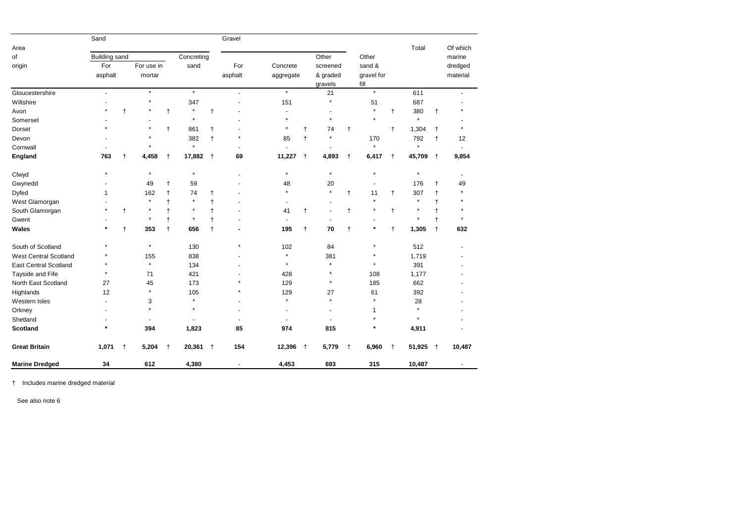|                              | Sand                 |              |                |     |                |            | Gravel                   |                |              |                |              |            |              |            |              |                |
|------------------------------|----------------------|--------------|----------------|-----|----------------|------------|--------------------------|----------------|--------------|----------------|--------------|------------|--------------|------------|--------------|----------------|
| Area                         |                      |              |                |     |                |            |                          |                |              |                |              |            |              | Total      |              | Of which       |
| of                           | <b>Building sand</b> |              |                |     | Concreting     |            |                          |                |              | Other          |              | Other      |              |            |              | marine         |
| origin                       | For                  |              | For use in     |     | sand           |            | For                      | Concrete       |              | screened       |              | sand &     |              |            |              | dredged        |
|                              | asphalt              |              | mortar         |     |                |            | asphalt                  | aggregate      |              | & graded       |              | gravel for |              |            |              | material       |
|                              |                      |              |                |     |                |            |                          |                |              | gravels        |              | fill       |              |            |              |                |
| Gloucestershire              | $\blacksquare$       |              | $\star$        |     | $\star$        |            | $\blacksquare$           | $\star$        |              | 21             |              | $\star$    |              | 611        |              |                |
| Wiltshire                    |                      |              |                |     | 347            |            |                          | 151            |              | $\star$        |              | 51         |              | 687        |              |                |
| Avon                         |                      | $^\dagger$   |                |     | $\star$        | t          |                          |                |              |                |              | $\star$    | Ť            | 380        | $\mathsf{t}$ |                |
| Somerset                     |                      |              |                |     | $\star$        |            |                          | $\star$        |              | $\star$        |              |            |              | $\star$    |              |                |
| Dorset                       |                      |              |                |     | 861            |            |                          | $^\star$       |              | 74             | t            |            | t            | 1,304      | $\ddagger$   |                |
| Devon                        |                      |              |                |     | 382            | $\ddagger$ | $\star$                  | 85             |              | $\star$        |              | 170        |              | 792        | $\ddagger$   | 12             |
| Cornwall                     |                      |              |                |     | $\star$        |            |                          |                |              |                |              | $\star$    |              | $\star$    |              |                |
| <b>England</b>               | 763                  | t            | 4,458          | t   | 17,882         | $\ddagger$ | 69                       | 11,227         | $\ddagger$   | 4,893          | $\mathbf t$  | 6,417      | $\ddagger$   | 45,709     | $\ddagger$   | 9,854          |
| Clwyd                        |                      |              | $\star$        |     | $\star$        |            |                          | $\star$        |              | $\star$        |              | $\star$    |              |            |              |                |
| Gwynedd                      |                      |              | 49             |     | 59             |            |                          | 48             |              | 20             |              |            |              | 176        |              | 49             |
| Dyfed                        |                      |              | 162            |     | 74             |            |                          | $\star$        |              | $\star$        | t            | 11         | $\ddagger$   | 307        |              |                |
| West Glamorgan               |                      |              | $\star$        |     | $\star$        |            |                          | $\blacksquare$ |              |                |              |            |              | $\star$    |              |                |
| South Glamorgan              |                      | $\mathsf{t}$ | $\star$        |     | $\ast$         |            |                          | 41             |              |                | $\mathsf{t}$ | $\star$    | $\mathbf t$  | $\ast$     |              |                |
| Gwent                        |                      |              |                |     |                |            |                          |                |              |                |              |            |              |            |              |                |
| <b>Wales</b>                 |                      | $\ddagger$   | 353            |     | 656            | t          |                          | 195            | $^{\dagger}$ | 70             | $\mathsf{t}$ | $\star$    | $\mathsf{t}$ | 1,305      | $^\dagger$   | 632            |
| South of Scotland            |                      |              | $\ast$         |     | 130            |            | $\star$                  | 102            |              | 84             |              | $\ast$     |              | 512        |              |                |
| <b>West Central Scotland</b> |                      |              | 155            |     | 838            |            |                          | $\star$        |              | 381            |              | $^\star$   |              | 1,719      |              |                |
| <b>East Central Scotland</b> |                      |              | $\star$        |     | 134            |            |                          | $\star$        |              | $\star$        |              | $^\star$   |              | 391        |              |                |
| Tayside and Fife             | $\star$              |              | 71             |     | 421            |            |                          | 428            |              |                |              | 108        |              | 1,177      |              |                |
| North East Scotland          | 27                   |              | 45             |     | 173            |            |                          | 129            |              |                |              | 185        |              | 662        |              |                |
| Highlands                    | 12                   |              | $\star$        |     | 105            |            |                          | 129            |              | 27             |              | 61         |              | 392        |              |                |
| Western Isles                |                      |              | 3              |     | $\star$        |            |                          | $\star$        |              | $\star$        |              | $\star$    |              | 28         |              |                |
| Orkney                       |                      |              | $\star$        |     | $\star$        |            |                          |                |              |                |              | 1          |              | $\star$    |              |                |
| Shetland                     |                      |              | $\blacksquare$ |     | $\blacksquare$ |            | $\overline{\phantom{a}}$ | $\blacksquare$ |              | $\blacksquare$ |              | $\star$    |              | $\star$    |              |                |
| <b>Scotland</b>              | $\star$              |              | 394            |     | 1,823          |            | 85                       | 974            |              | 815            |              | *          |              | 4,911      |              |                |
| <b>Great Britain</b>         | $1,071$ †            |              | 5,204          | $+$ | $20,361$ +     |            | 154                      | $12,396$ †     |              | $5,779$ †      |              | 6,960      | $+$          | $51,925$ † |              | 10,487         |
| <b>Marine Dredged</b>        | 34                   |              | 612            |     | 4,380          |            | $\overline{\phantom{a}}$ | 4,453          |              | 693            |              | 315        |              | 10,487     |              | $\blacksquare$ |

† Includes marine dredged material

See also note 6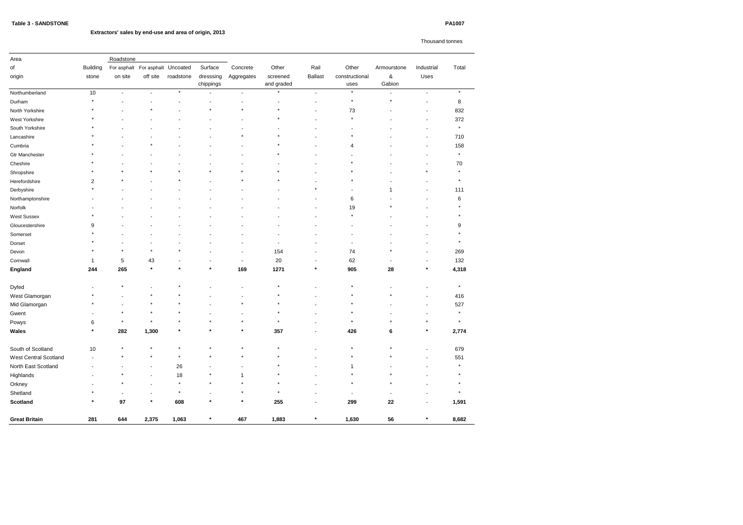# **Extractors' sales by end-use and area of origin, 2013**

Thousand tonnes

| Area                         |                          | Roadstone                |                                  |                |                        |                          |                          |                          |                        |                          |                          |          |  |
|------------------------------|--------------------------|--------------------------|----------------------------------|----------------|------------------------|--------------------------|--------------------------|--------------------------|------------------------|--------------------------|--------------------------|----------|--|
| of                           | <b>Building</b>          |                          | For asphalt For asphalt Uncoated |                | Surface                | Concrete                 | Other                    | Rail                     | Other                  | Armourstone              | Industrial               | Total    |  |
| origin                       | stone                    | on site                  | off site                         | roadstone      | dresssing<br>chippings | Aggregates               | screened<br>and graded   | <b>Ballast</b>           | constructional<br>uses | $\&$<br>Gabion           | Uses                     |          |  |
| Northumberland               | 10                       | $\blacksquare$           | $\sim$                           | $\star$        |                        | $\blacksquare$           | $\star$                  | $\blacksquare$           | $\star$                | ٠                        | $\blacksquare$           | $\star$  |  |
| Durham                       | $\star$                  |                          |                                  |                |                        | $\blacksquare$           |                          |                          | $\star$                | $\star$                  | $\overline{a}$           | 8        |  |
| North Yorkshire              |                          |                          |                                  |                |                        | $\star$                  | $\star$                  |                          | 73                     |                          |                          | 832      |  |
| West Yorkshire               | $^\star$                 |                          |                                  |                |                        | $\overline{\phantom{a}}$ | $\star$                  |                          |                        |                          | $\overline{\phantom{a}}$ | 372      |  |
| South Yorkshire              |                          |                          |                                  |                |                        |                          |                          |                          |                        |                          |                          | $\star$  |  |
| Lancashire                   |                          |                          | ٠                                |                |                        |                          |                          |                          |                        |                          | $\blacksquare$           | 710      |  |
| Cumbria                      | $^\star$                 |                          | $\star$                          |                |                        |                          | $\star$                  |                          | 4                      |                          | $\blacksquare$           | 158      |  |
| <b>Gtr Manchester</b>        |                          |                          |                                  |                |                        |                          |                          |                          |                        |                          |                          | $\star$  |  |
| Cheshire                     |                          |                          |                                  |                |                        |                          | ٠                        |                          |                        |                          | $\blacksquare$           | 70       |  |
| Shropshire                   |                          |                          | $\star$                          | $\star$        |                        | $\star$                  |                          |                          |                        |                          | $\star$                  | $\star$  |  |
| Herefordshire                | $\overline{2}$           |                          |                                  | $\star$        |                        | $\star$                  | $\star$                  |                          |                        |                          |                          | $\star$  |  |
| Derbyshire                   | $\star$                  |                          |                                  |                |                        |                          |                          |                          |                        | 1                        |                          | 111      |  |
| Northamptonshire             |                          |                          |                                  |                |                        |                          |                          |                          | 6                      |                          |                          | 6        |  |
| Norfolk                      |                          |                          |                                  |                |                        |                          |                          |                          | 19                     |                          |                          |          |  |
| <b>West Sussex</b>           |                          |                          |                                  |                |                        |                          |                          |                          |                        |                          |                          |          |  |
| Gloucestershire              | 9                        |                          |                                  |                |                        |                          |                          |                          |                        |                          |                          | 9        |  |
| Somerset                     |                          |                          |                                  |                |                        |                          |                          |                          |                        |                          |                          |          |  |
| Dorset                       | $^\star$                 |                          |                                  |                |                        |                          | $\overline{\phantom{a}}$ |                          |                        |                          |                          | $^\star$ |  |
| Devon                        | $\star$                  | $\star$                  | $\star$                          | $\star$        |                        | $\overline{\phantom{a}}$ | 154                      |                          | 74                     | $\star$                  |                          | 269      |  |
| Cornwall                     | -1                       | 5                        | 43                               | $\blacksquare$ |                        | $\overline{\phantom{a}}$ | 20                       | $\overline{\phantom{a}}$ | 62                     | $\overline{\phantom{a}}$ | $\blacksquare$           | 132      |  |
| England                      | 244                      | 265                      | $\star$                          | $\pmb{\ast}$   | $\ast$                 | 169                      | 1271                     | $\ast$                   | 905                    | 28                       | $\ast$                   | 4,318    |  |
| Dyfed                        |                          |                          |                                  |                |                        |                          | $\star$                  |                          |                        |                          |                          | $\star$  |  |
| West Glamorgan               |                          |                          | $\ast$                           | $\ast$         |                        |                          | $\star$                  |                          |                        | $\star$                  | $\blacksquare$           | 416      |  |
| Mid Glamorgan                |                          |                          | $\star$                          | $\star$        |                        |                          | $\star$                  |                          |                        |                          |                          | 527      |  |
| Gwent                        |                          |                          | $\star$                          | $^{\star}$     |                        | $\overline{\phantom{a}}$ | $\star$                  |                          |                        |                          |                          | $\star$  |  |
| Powys                        | 6                        |                          | $\star$                          | $\star$        | $\star$                | $\star$                  | $\star$                  |                          | $\star$                | $\star$                  | $\star$                  | $\star$  |  |
| Wales                        | $\ast$                   | 282                      | 1,300                            |                |                        |                          | 357                      | $\sim$                   | 426                    | 6                        |                          | 2,774    |  |
| South of Scotland            | $10$                     | $\star$                  | $\star$                          | $\star$        | $\star$                | $\star$                  | $\star$                  | $\sim$                   | $\star$                | $\star$                  | $\overline{\phantom{a}}$ | 679      |  |
| <b>West Central Scotland</b> | $\overline{\phantom{a}}$ |                          | $\star$                          | $\star$        | $\star$                | $\star$                  | $\star$                  |                          | $\star$                | $\star$                  | $\blacksquare$           | 551      |  |
| North East Scotland          |                          |                          | $\overline{\phantom{a}}$         | 26             |                        | $\overline{a}$           | $\star$                  |                          | $\mathbf{1}$           | $\overline{\phantom{a}}$ | $\overline{\phantom{a}}$ | $\star$  |  |
| Highlands                    |                          | $\star$                  | $\sim$                           | 18             | $\star$                | $\mathbf{1}$             | $\star$                  |                          | $\star$                | $\star$                  | $\overline{a}$           | $\star$  |  |
| Orkney                       |                          | $\star$                  | $\sim$                           | $\star$        | $\star$                | $\star$                  | $\star$                  |                          | $\star$                | $\star$                  |                          | $\star$  |  |
| Shetland                     |                          | $\overline{\phantom{a}}$ | $\overline{\phantom{a}}$         | $\star$        |                        | $\star$                  | $\star$                  |                          | $\blacksquare$         | $\sim$                   | $\overline{a}$           | $\star$  |  |
| <b>Scotland</b>              | $\star$                  | 97                       | $\star$                          | 608            | $\star$                | $\star$                  | 255                      |                          | 299                    | ${\bf 22}$               | $\overline{\phantom{a}}$ | 1,591    |  |
| <b>Great Britain</b>         | 281                      | 644                      | 2,375                            | 1,063          | $\star$                | 467                      | 1,883                    | $\star$                  | 1,630                  | 56                       | $\star$                  | 8,682    |  |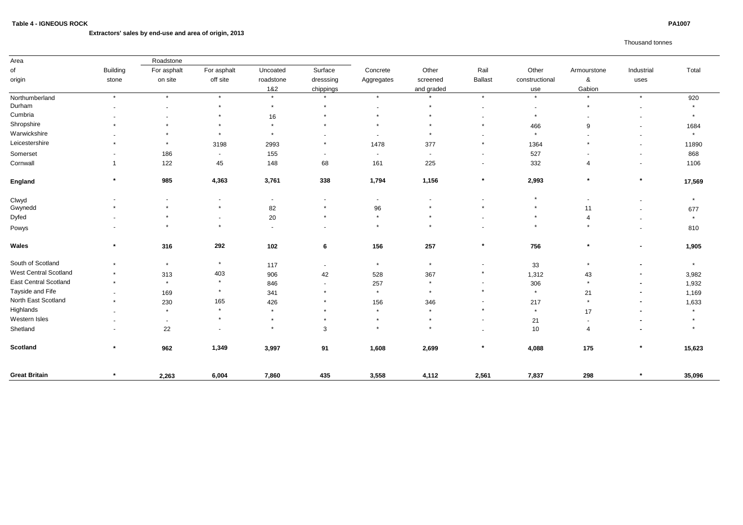# **Extractors' sales by end-use and area of origin, 2013**

# Thousand tonnes

| Area                         |                          | Roadstone                |                          |           |                          |                          |            |                          |                          |                          |                          |         |
|------------------------------|--------------------------|--------------------------|--------------------------|-----------|--------------------------|--------------------------|------------|--------------------------|--------------------------|--------------------------|--------------------------|---------|
| of                           | <b>Building</b>          | For asphalt              | For asphalt              | Uncoated  | Surface                  | Concrete                 | Other      | Rail                     | Other                    | Armourstone              | Industrial               | Total   |
| origin                       | stone                    | on site                  | off site                 | roadstone | dresssing                | Aggregates               | screened   | <b>Ballast</b>           | constructional           | &                        | uses                     |         |
|                              |                          |                          |                          | 1&2       | chippings                |                          | and graded |                          | use                      | Gabion                   |                          |         |
| Northumberland               | $\star$                  | $\star$                  | $\star$                  | $\star$   | $\star$                  | $\star$                  | $\star$    | $\star$                  | $\star$                  | $\star$                  | $\star$                  | 920     |
| Durham                       |                          | $\overline{\phantom{0}}$ | $\star$                  | $\star$   | $\star$                  | $\overline{\phantom{a}}$ | $\star$    | $\sim$                   | $\overline{\phantom{a}}$ | $\ast$                   | $\overline{\phantom{a}}$ |         |
| Cumbria                      |                          | $\sim$                   |                          | 16        | $\star$                  | $\star$                  | $\star$    |                          | $\star$                  |                          | $\overline{\phantom{a}}$ | $\star$ |
| Shropshire                   |                          |                          |                          | $\star$   | $\star$                  | $\star$                  | $\star$    |                          | 466                      | 9                        | $\sim$                   | 1684    |
| Warwickshire                 |                          | $\star$                  | $\star$                  | $\star$   |                          | $\blacksquare$           | $\star$    |                          | $\star$                  |                          | $\overline{\phantom{a}}$ | $\star$ |
| Leicestershire               |                          | $\star$                  | 3198                     | 2993      | $\star$                  | 1478                     | 377        | $\star$                  | 1364                     | $\ast$                   | $\overline{\phantom{a}}$ | 11890   |
| Somerset                     |                          | 186                      | $\sim$                   | 155       | $\overline{\phantom{a}}$ | $\overline{\phantom{a}}$ | $\sim$     | $\sim$                   | 527                      |                          | $\overline{\phantom{a}}$ | 868     |
| Cornwall                     |                          | 122                      | 45                       | 148       | 68                       | 161                      | 225        | $\overline{\phantom{0}}$ | 332                      | 4                        | $\overline{\phantom{a}}$ | 1106    |
| England                      | $\star$                  | 985                      | 4,363                    | 3,761     | 338                      | 1,794                    | 1,156      | $\star$                  | 2,993                    | $\star$                  | $\star$                  | 17,569  |
| Clwyd                        |                          | $\sim$                   |                          | $\sim$    | $\overline{\phantom{a}}$ | $\overline{\phantom{a}}$ |            |                          | $\star$                  | $\overline{\phantom{a}}$ | ٠                        | $\star$ |
| Gwynedd                      |                          | $\star$                  | $\star$                  | 82        | $\ast$                   | 96                       |            |                          | $\star$                  | 11                       | $\blacksquare$           | 677     |
| Dyfed                        |                          |                          | $\overline{\phantom{a}}$ | 20        | $\star$                  | $\star$                  | $\star$    |                          | $\star$                  |                          | ٠                        | $\star$ |
| Powys                        |                          | $\star$                  | $\star$                  | $\sim$    | $\overline{\phantom{a}}$ | $\star$                  | $\star$    |                          | $\star$                  |                          | ٠                        | 810     |
| <b>Wales</b>                 | $\star$                  | 316                      | 292                      | 102       | $6\phantom{1}$           | 156                      | 257        | $\star$                  | 756                      | $\star$                  | $\blacksquare$           | 1,905   |
| South of Scotland            | $\star$                  | $\star$                  | $\star$                  | 117       | $\overline{\phantom{a}}$ | $\star$                  | $\star$    |                          | 33                       |                          | $\blacksquare$           | $\star$ |
| <b>West Central Scotland</b> | $\star$                  | 313                      | 403                      | 906       | 42                       | 528                      | 367        | $\star$                  | 1,312                    | 43                       | $\blacksquare$           | 3,982   |
| <b>East Central Scotland</b> | $\star$                  | $\star$                  | $\star$                  | 846       | $\overline{\phantom{a}}$ | 257                      | $\star$    |                          | 306                      | $\star$                  | $\blacksquare$           | 1,932   |
| Tayside and Fife             | $\overline{\phantom{a}}$ | 169                      | $\star$                  | 341       | $\star$                  | $\star$                  | $\star$    | $\star$                  | $\star$                  | 21                       | $\blacksquare$           | 1,169   |
| North East Scotland          | $\star$                  | 230                      | 165                      | 426       | $\star$                  | 156                      | 346        |                          | 217                      | $\star$                  | $\blacksquare$           | 1,633   |
| Highlands                    | $\blacksquare$           | $\star$                  | $\star$                  | $\star$   | $\star$                  | $\star$                  | $\star$    | $\star$                  | $\star$                  | 17                       |                          | $\star$ |
| Western Isles                |                          | $\overline{\phantom{a}}$ |                          | $\star$   | $\ast$                   | $\star$                  | $\star$    |                          | 21                       |                          | $\blacksquare$           |         |
| Shetland                     |                          | 22                       |                          | $\star$   | 3                        | $\star$                  | $\star$    |                          | 10                       |                          |                          |         |
| <b>Scotland</b>              | $\star$                  | 962                      | 1,349                    | 3,997     | 91                       | 1,608                    | 2,699      | $\star$                  | 4,088                    | 175                      | $\ast$                   | 15,623  |
| <b>Great Britain</b>         |                          | 2,263                    | 6,004                    | 7,860     | 435                      | 3,558                    | 4,112      | 2,561                    | 7,837                    | 298                      |                          | 35,096  |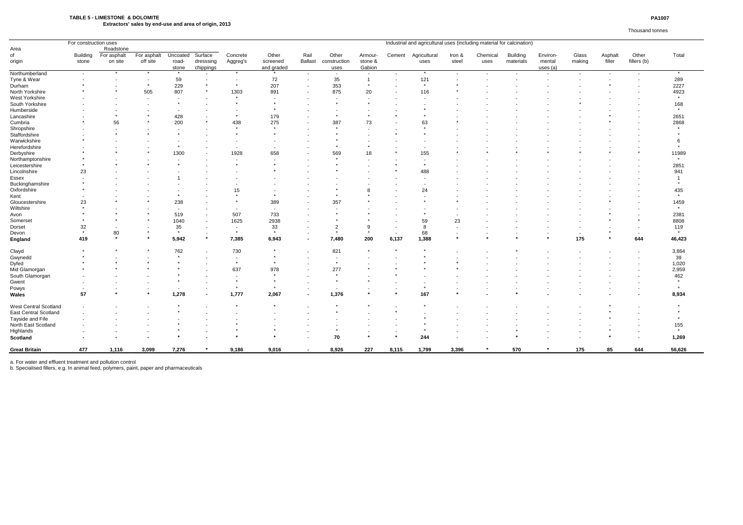## **TABLE 5 - LIMESTONE & DOLOMITE PA1007 Extractors' sales by end-use and area of origin, 2013**

### Thousand tonnes

|                              | Industrial and agricultural uses (including material for calcination)<br>For construction uses |             |             |                |           |                          |                          |                |                           |                |        |              |        |          |                 |          |        |                          |             |                         |
|------------------------------|------------------------------------------------------------------------------------------------|-------------|-------------|----------------|-----------|--------------------------|--------------------------|----------------|---------------------------|----------------|--------|--------------|--------|----------|-----------------|----------|--------|--------------------------|-------------|-------------------------|
| Area                         |                                                                                                | Roadstone   |             |                |           |                          |                          |                |                           |                |        |              |        |          |                 |          |        |                          |             |                         |
| of                           | <b>Building</b>                                                                                | For asphalt | For asphalt | Uncoated       | Surface   | Concrete                 | Other                    | Rail           | Other                     | Armour-        | Cement | Agricultural | Iron & | Chemical | <b>Building</b> | Environ- | Glass  | Asphalt                  | Other       | Total                   |
| origin                       | stone                                                                                          | on site     | off site    | road-          | dresssing | Aggreg's                 | screened                 | <b>Ballast</b> | construction              | stone &        |        | uses         | steel  | uses     | materials       | mental   | making | filler                   | fillers (b) |                         |
|                              |                                                                                                |             |             | stone          | chippings |                          | and graded               |                | uses                      | Gabion         |        |              |        |          |                 | uses (a) |        |                          |             |                         |
| Northumberland               | $\sim$                                                                                         | $\star$     | $\star$     | $\star$        | $\sim$    | $\star$                  | $\star$                  | $\sim$         | $\blacksquare$            | $\sim$         |        | $\star$      | $\sim$ |          | $\sim$          |          | $\sim$ | $\blacksquare$           |             | $\star$                 |
| Tyne & Wear                  |                                                                                                |             | $\sim$      | 59             |           | $\sim$                   | 72                       |                | 35                        | $\overline{1}$ |        | 121          |        |          |                 |          |        | $\overline{\phantom{a}}$ |             | 289                     |
| Durham                       |                                                                                                |             | $\star$     | 229            |           | $\star$                  | 207                      |                | 353                       |                |        | $\star$      |        |          |                 |          |        |                          |             | 2227                    |
| North Yorkshire              |                                                                                                |             | 505         | 807            |           | 1303                     | 891                      |                | 875                       | 20             |        | 116          |        |          |                 |          |        |                          |             | 4923                    |
| <b>West Yorkshire</b>        |                                                                                                |             |             |                |           | $\star$                  |                          |                |                           |                |        |              |        |          |                 |          |        |                          |             | $\star$                 |
| South Yorkshire              |                                                                                                |             |             | $\star$        |           | $\star$                  | $\star$                  |                |                           |                |        |              |        |          |                 |          |        |                          |             | 168                     |
| Humberside                   |                                                                                                |             |             | $\blacksquare$ |           |                          |                          |                |                           |                |        |              |        |          |                 |          |        |                          |             | $\star$                 |
| Lancashire                   |                                                                                                |             |             | 428            |           | $\star$                  | 179                      |                |                           |                |        |              |        |          |                 |          |        |                          |             | 2651                    |
| Cumbria                      |                                                                                                | 56          |             | 200            |           | 438                      | 275                      |                | 387                       | 73             |        | 63           |        |          |                 |          |        |                          |             | 2868                    |
| Shropshire                   |                                                                                                |             |             |                |           | $\star$                  | $\star$                  |                | $\star$                   |                |        |              |        |          |                 |          |        |                          |             | $\star$                 |
| Staffordshire                |                                                                                                |             |             |                |           |                          |                          |                |                           |                |        |              |        |          |                 |          |        |                          |             |                         |
| Warwickshire                 |                                                                                                |             |             |                |           |                          |                          |                |                           |                |        |              |        |          |                 |          |        |                          |             | -6                      |
| Herefordshire                |                                                                                                |             |             | $\star$        |           | $\overline{\phantom{a}}$ | $\overline{\phantom{a}}$ |                |                           |                |        |              |        |          |                 |          |        |                          |             |                         |
| Derbyshire                   |                                                                                                |             |             | 1300           |           | 1928                     | 658                      |                | 569                       | 18             |        | 155          |        |          |                 |          |        |                          |             | 11989                   |
| Northamptonshire             |                                                                                                |             |             |                |           |                          |                          |                |                           |                |        |              |        |          |                 |          |        |                          |             | $\star$                 |
| Leicestershire               |                                                                                                |             |             |                |           |                          |                          |                |                           |                |        |              |        |          |                 |          |        |                          |             | 2851                    |
| Lincolnshire                 | 23                                                                                             |             |             |                |           |                          |                          |                |                           |                |        | 488          |        |          |                 |          |        |                          |             | 941                     |
| Essex                        |                                                                                                |             |             |                |           |                          |                          |                |                           |                |        |              |        |          |                 |          |        |                          |             | $\overline{\mathbf{1}}$ |
| Buckinghamshire              |                                                                                                |             |             |                |           |                          |                          |                |                           |                |        |              |        |          |                 |          |        |                          |             |                         |
| Oxfordshire                  |                                                                                                |             |             |                |           | 15                       |                          |                |                           |                |        | 24           |        |          |                 |          |        |                          |             | 435                     |
| Kent                         |                                                                                                |             |             |                |           | $\star$                  | $\star$                  |                |                           |                |        |              |        |          |                 |          |        |                          |             | $\star$                 |
| Gloucestershire              | 23                                                                                             |             |             | 238            |           | $\star$                  | 389                      |                | 357                       |                |        |              |        |          |                 |          |        |                          |             | 1459                    |
|                              |                                                                                                |             |             |                |           |                          |                          |                |                           |                |        |              |        |          |                 |          |        |                          |             | $\star$                 |
| Wiltshire                    |                                                                                                |             |             | $\sim$         |           | $\blacksquare$           | $\sim$                   |                |                           |                |        |              |        |          |                 |          |        |                          |             |                         |
| Avon                         |                                                                                                |             |             | 519            |           | 507                      | 733                      |                |                           |                |        |              |        |          |                 |          |        |                          |             | 2381                    |
| Somerset                     |                                                                                                |             |             | 1040           |           | 1625                     | 2938                     |                |                           |                |        | 59           | 23     |          |                 |          |        |                          |             | 8808                    |
| Dorset                       | 32<br>$\star$                                                                                  |             | $\star$     | 35<br>$\star$  |           | $\sim$<br>$\star$        | 33<br>$\star$            |                | $\overline{2}$<br>$\star$ | -9<br>$\star$  |        | 8            |        |          |                 |          |        |                          |             | 119<br>$\star$          |
| Devon                        |                                                                                                | 80          |             |                |           |                          |                          |                |                           |                |        | 68           |        |          |                 |          | $\sim$ |                          |             |                         |
| England                      | 419                                                                                            | $\star$     | $\star$     | 5,942          | $\star$   | 7,385                    | 6,943                    | $\blacksquare$ | 7,480                     | 200            | 6,137  | 1,388        |        |          |                 |          | 175    |                          | 644         | 46,423                  |
| Clwyd                        |                                                                                                |             |             | 762            |           | 730                      | $\star$                  |                | 821                       |                |        |              |        |          |                 |          |        |                          |             | 3,864                   |
| Gwynedd                      |                                                                                                |             |             | $\star$        |           | $\sim$                   | $\star$                  |                |                           |                |        |              |        |          |                 |          |        |                          |             | 39                      |
| Dyfed                        |                                                                                                |             |             |                |           | $\star$                  | $\star$                  |                |                           |                |        |              |        |          |                 |          |        |                          |             | 1,020                   |
| Mid Glamorgan                |                                                                                                |             |             |                |           | 637                      | 978                      |                | 277                       |                |        |              |        |          |                 |          |        |                          |             | 2,959                   |
| South Glamorgan              |                                                                                                |             |             |                |           |                          | $\star$                  |                |                           |                |        |              |        |          |                 |          |        |                          |             | 462                     |
| Gwent                        |                                                                                                |             |             |                |           | $\star$                  | $\star$                  |                |                           |                |        |              |        |          |                 |          |        |                          |             | $\star$                 |
| Powys                        |                                                                                                |             |             | $\sim$         |           | $\star$                  | $\star$                  |                | $\sim$                    |                |        |              |        |          |                 |          |        |                          |             | $\star$                 |
|                              | 57                                                                                             |             | $\star$     | 1,278          |           | 1,777                    | 2,067                    |                | 1,376                     |                |        | 167          |        |          |                 |          |        |                          |             | 8,934                   |
| Wales                        |                                                                                                |             |             |                |           |                          |                          |                |                           |                |        |              |        |          |                 |          |        |                          |             |                         |
| West Central Scotland        |                                                                                                |             |             |                |           |                          |                          |                |                           |                |        |              |        |          |                 |          |        |                          |             |                         |
| <b>East Central Scotland</b> |                                                                                                |             |             |                |           |                          |                          |                |                           |                |        |              |        |          |                 |          |        |                          |             |                         |
| Tayside and Fife             |                                                                                                |             |             |                |           |                          |                          |                |                           |                |        |              |        |          |                 |          |        |                          |             |                         |
| North East Scotland          |                                                                                                |             |             |                |           |                          |                          |                |                           |                |        |              |        |          |                 |          |        |                          |             | 155                     |
| Highlands                    |                                                                                                |             |             |                |           |                          |                          |                |                           |                |        |              |        |          |                 |          |        |                          |             | $\star$                 |
| <b>Scotland</b>              |                                                                                                |             |             |                |           |                          |                          |                | 70                        |                |        | 244          |        |          |                 |          |        |                          |             | 1,269                   |
| <b>Great Britain</b>         | 477                                                                                            | 1,116       | 3,099       | 7,276          | $\ast$    | 9,186                    | 9,016                    | $\sim$         | 8,926                     | 227            | 8,115  | 1,799        | 3,396  |          | 570             |          | 175    | 85                       | 644         | 56,626                  |
|                              |                                                                                                |             |             |                |           |                          |                          |                |                           |                |        |              |        |          |                 |          |        |                          |             |                         |

a. For water and effluent treatment and pollution control

b. Specialised fillers, e.g. In animal feed, polymers, paint, paper and pharmaceuticals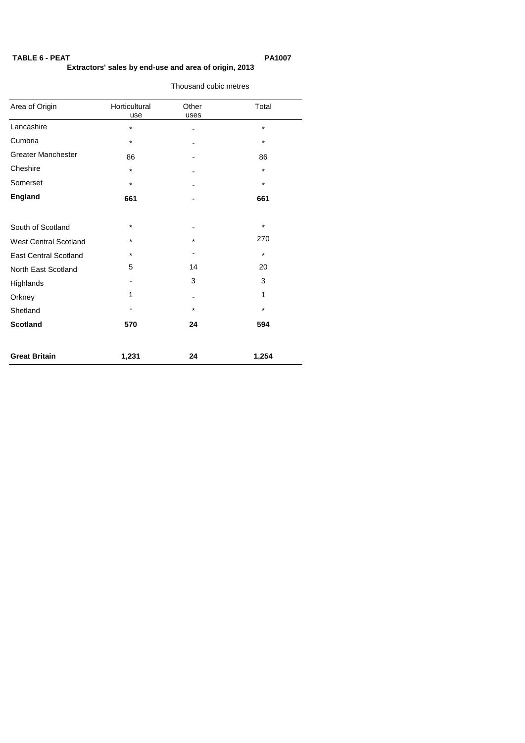# **TABLE 6 - PEAT PA1007 Extractors' sales by end-use and area of origin, 2013**

Thousand cubic metres

# Area of Origin **Horticultural** Other Total use uses Lancashire  $\qquad \qquad *$  - -  $\qquad \qquad *$ Cumbria  $\ast$  -  $\cdot$   $\cdot$ Greater Manchester 86 - 86 Cheshire \* - \* Somerset \* - \* **England 661** - **661** South of Scotland  $\overline{\phantom{a}}$  \* West Central Scotland  $*$  \* \* \* \* \* \* 270 East Central Scotland \* - \* North East Scotland 5 14 20 Highlands 3 3 3 Orkney 1 - 1 1 Shetland - \* \* **Scotland 570 24 594 Great Britain 1,231 24 1,254**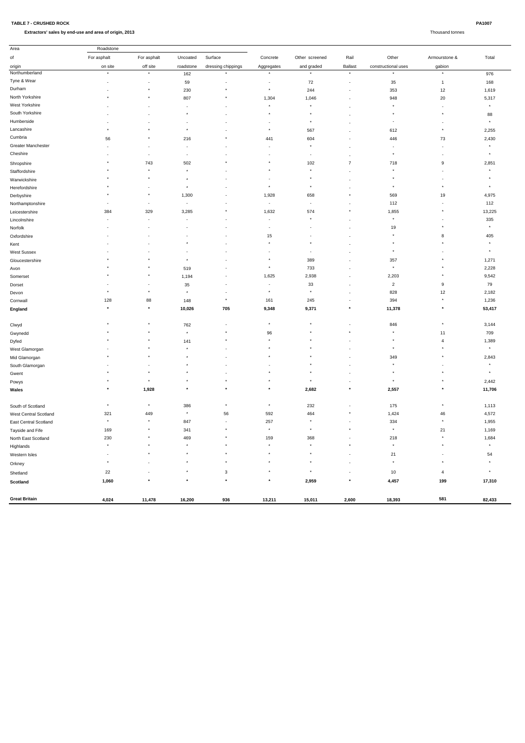| PA1007 |
|--------|
|        |

Extractors' sales by end-use and area of origin, 2013 **Thousand to a set of origin, 2013** Thousand tonnes

| Area                  | Roadstone                |                |                          |                                     |                          |                |                          |                     |                                     |                  |
|-----------------------|--------------------------|----------------|--------------------------|-------------------------------------|--------------------------|----------------|--------------------------|---------------------|-------------------------------------|------------------|
| of                    | For asphalt              | For asphalt    | Uncoated                 | Surface                             | Concrete                 | Other screened | Rail                     | Other               | Armourstone &                       | Total            |
| origin                | on site                  | off site       | roadstone                | dressing chippings                  | Aggregates               | and graded     | <b>Ballast</b>           | constructional uses | gabion                              |                  |
| Northumberland        | $\star$                  | $\star$        | 162                      | $\star$                             | $\star$                  | $\star$        | $\star$                  | $\star$             | $\star$                             | 976              |
| Tyne & Wear           | $\overline{\phantom{a}}$ |                | 59                       | ٠.                                  | $\overline{\phantom{a}}$ | 72             | $\overline{\phantom{a}}$ | 35                  | $\overline{1}$                      | 168              |
| Durham                |                          | $\star$        | 230                      |                                     | $\pmb{\ast}$             | 244            |                          | 353                 | 12                                  | 1,619            |
| North Yorkshire       | $\star$                  | $\star$        | 807                      |                                     | 1,304                    | 1,046          |                          | 948                 | 20                                  | 5,317            |
| West Yorkshire        |                          |                | $\overline{\phantom{a}}$ |                                     |                          |                |                          |                     | $\overline{\phantom{a}}$            | $\star$          |
| South Yorkshire       |                          |                | $\star$                  |                                     | $\star$                  |                |                          |                     | $\star$                             | 88               |
| Humberside            |                          |                | $\overline{\phantom{a}}$ |                                     | $\overline{\phantom{a}}$ | $\star$        |                          |                     | $\overline{\phantom{a}}$            | $\star$          |
| Lancashire            |                          |                |                          |                                     | $\pmb{\star}$            | 567            |                          | 612                 | $\star$                             | 2,255            |
| Cumbria               | 56                       |                | 216                      |                                     | 441                      | 604            |                          | 446                 | 73                                  | 2,430            |
| Greater Manchester    |                          |                | $\overline{\phantom{a}}$ |                                     |                          |                |                          |                     | $\blacksquare$                      | $\star$          |
| Cheshire              |                          |                | $\overline{\phantom{a}}$ |                                     |                          | $\sim$         |                          |                     | $\overline{\phantom{a}}$            | $\star$          |
| Shropshire            |                          | 743            | 502                      |                                     | $\star$                  | 102            | $\overline{7}$           | 718                 | 9                                   | 2,851            |
| Staffordshire         |                          | $\star$        | $\pmb{\ast}$             |                                     | $\star$                  | $\star$        |                          | $\star$             |                                     | $\star$          |
| Warwickshire          |                          |                | $\star$                  |                                     |                          |                |                          |                     |                                     |                  |
| Herefordshire         |                          |                | $\pmb{\ast}$             |                                     | $\pmb{\ast}$             | $\star$        |                          | $\star$             | $\star$                             | $\star$          |
| Derbyshire            | $\star$                  | $\star$        | 1,300                    |                                     | 1,928                    | 658            |                          | 569                 | 19                                  | 4,975            |
| Northamptonshire      | $\overline{\phantom{a}}$ |                | $\sim$                   |                                     | $\overline{\phantom{a}}$ |                | $\overline{\phantom{a}}$ | 112                 | $\overline{\phantom{a}}$            | 112              |
| Leicestershire        | 384                      | 329            | 3,285                    |                                     | 1,632                    | 574            |                          | 1,855               |                                     | 13,225           |
| Lincolnshire          |                          |                | $\overline{\phantom{a}}$ |                                     | $\overline{\phantom{a}}$ | $\star$        |                          | $\star$             |                                     | 335              |
| Norfolk               |                          |                |                          |                                     | $\overline{\phantom{a}}$ |                |                          | 19                  | $\star$                             | $\star$          |
| Oxfordshire           |                          |                |                          |                                     | 15                       |                |                          |                     | 8                                   | 405              |
| Kent                  |                          |                |                          |                                     | $\star$                  |                |                          |                     | $\star$                             | $\star$          |
| <b>West Sussex</b>    |                          |                |                          |                                     | $\overline{a}$           |                |                          |                     |                                     | $\star$          |
| Gloucestershire       |                          |                | $\star$                  |                                     | $\star$                  | 389            |                          | 357                 |                                     | 1,271            |
| Avon                  |                          |                | 519                      |                                     | $\pmb{\star}$            | 733            | $\overline{\phantom{a}}$ | $\star$             | $\star$                             | 2,228            |
| Somerset              |                          | $\star$        | 1,194                    |                                     | 1,625                    | 2,938          | $\overline{\phantom{a}}$ | 2,203               | $\ast$                              | 9,542            |
| Dorset                |                          |                | 35                       | $\overline{\phantom{a}}$            | $\overline{\phantom{a}}$ | 33             |                          | $\overline{2}$      | 9                                   | 79               |
| Devon                 | $\star$                  | $\star$        | $\pmb{\ast}$             |                                     | $\pmb{\star}$            | $\pmb{\ast}$   |                          | 828                 | 12                                  | 2,182            |
| Cornwall              | 128                      | 88             | 148                      | $\pmb{\ast}$                        | 161                      | 245            |                          | 394                 | $\star$                             | 1,236            |
| England               | $\star$                  | $\star$        | 10,026                   | 705                                 | 9,348                    | 9,371          | $\ast$                   | 11,378              | $\ast$                              | 53,417           |
|                       |                          |                |                          |                                     |                          |                |                          |                     |                                     |                  |
| Clwyd                 |                          |                | 762                      |                                     | $\pmb{\ast}$             | $\star$        |                          | 846                 |                                     | 3,144            |
| Gwynedd               |                          |                | $\star$                  | $\star$                             | 96                       |                |                          |                     | 11                                  | 709              |
| Dyfed                 | $\star$                  | $\star$        | 141                      |                                     | $\star$                  |                |                          |                     | $\overline{a}$                      | 1,389            |
| West Glamorgan        |                          | $\star$        | $\pmb{\ast}$             |                                     | $\star$                  |                |                          | $\star$             | $\star$                             | $\star$          |
| Mid Glamorgan         |                          |                | $\star$                  |                                     |                          |                |                          | 349                 | $\star$                             | 2,843            |
| South Glamorgan       |                          |                | $\star$                  |                                     |                          |                |                          | $\star$             |                                     | $\star$          |
| Gwent                 |                          | $\star$        | $\star$                  |                                     |                          |                |                          | $\star$             | $\star$                             | $\star$          |
| Powys                 |                          |                | $\star$                  |                                     | $\star$                  | $\star$        | $\overline{\phantom{a}}$ | $\star$             | $\star$                             | 2,442            |
| Wales                 | $\ast$                   | 1,928          | $\ast$                   | $\star$                             | $\star$                  | 2,682          | $\ast$                   | 2,557               | $\star$                             | 11,706           |
|                       | $\pmb{\ast}$             | $\star$        |                          | $\star$                             | $\pmb{\ast}$             |                |                          |                     | $\pmb{\star}$                       |                  |
| South of Scotland     |                          |                | 386                      |                                     |                          | 232            | $\overline{\phantom{a}}$ | 175                 |                                     | 1,113            |
| West Central Scotland | 321<br>$\star$           | 449<br>$\star$ | $\star$                  | ${\bf 56}$                          | 592                      | 464<br>$\star$ | $\star$                  | 1,424               | 46<br>$\star$                       | 4,572            |
| East Central Scotland |                          |                | 847                      | $\overline{\phantom{a}}$<br>$\star$ | 257<br>$\pmb{\star}$     |                | ٠<br>$\star$             | 334<br>$\star$      |                                     | 1,955            |
| Tayside and Fife      | 169                      | $\star$        | 341                      | $\star$                             |                          |                |                          |                     | 21<br>$\star$                       | 1,169            |
| North East Scotland   | 230<br>$\pmb{\ast}$      |                | 469<br>$\pmb{\ast}$      | $\star$                             | 159<br>$\star$           | 368            | $\star$                  | 218<br>$\star$      | $\star$                             | 1,684<br>$\star$ |
| Highlands             |                          |                | $\pmb{\ast}$             |                                     | $\pmb{\star}$            |                |                          |                     |                                     |                  |
| Western Isles         | $\sim$<br>$\star$        |                | $\pmb{\ast}$             |                                     | $\pmb{\star}$            |                |                          | 21<br>$\star$       | $\overline{\phantom{a}}$<br>$\star$ | 54<br>$\star$    |
| Orkney                |                          |                |                          |                                     |                          |                | $\overline{\phantom{a}}$ |                     |                                     |                  |
| Shetland              | 22                       |                | $\pmb{\ast}$             | 3                                   | $\pmb{\star}$            | $\star$        |                          | 10                  | $\overline{4}$                      | $\star$          |
| Scotland              | 1,060                    |                | $\star$                  | $\star$                             | $\star$                  | 2,959          | $\ast$                   | 4,457               | 199                                 | 17,310           |
|                       |                          |                |                          |                                     |                          |                |                          |                     |                                     |                  |
| <b>Great Britain</b>  | 4,024                    | 11,478         | 16,200                   | 936                                 | 13,211                   | 15,011         | 2,600                    | 18,393              | 581                                 | 82,433           |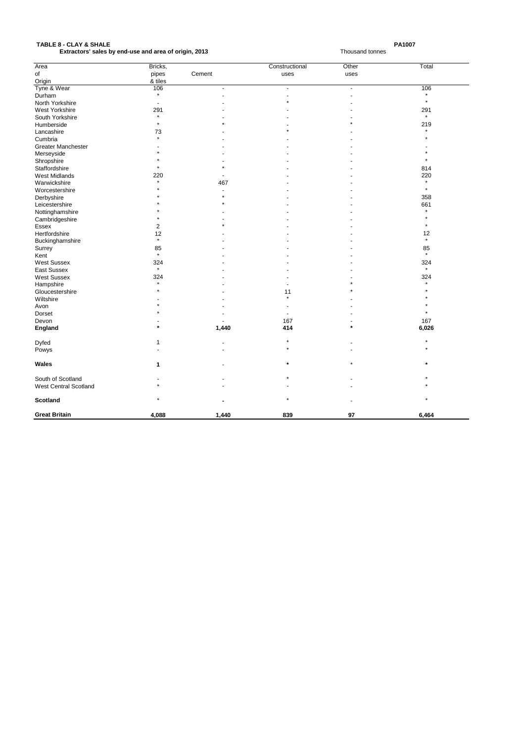# PA1007<br>**PA1007**<br>Extractors' sales by end-use and area of origin, 2013<br>Extractors' sales by end-use and area of origin, 2013 **Extractors' sales by end-use and area of origin, 2013**

| Area                         | Bricks, |                | Constructional | Other          | Total   |
|------------------------------|---------|----------------|----------------|----------------|---------|
| of                           | pipes   | Cement         | uses           | uses           |         |
| Origin                       | & tiles |                |                |                |         |
| Tyne & Wear                  | 106     | $\overline{a}$ | $\overline{a}$ | $\overline{a}$ | 106     |
| Durham                       | $\star$ |                |                |                |         |
| North Yorkshire              |         |                |                |                | $\star$ |
| <b>West Yorkshire</b>        | 291     |                |                |                | 291     |
| South Yorkshire              |         |                |                |                | $\star$ |
| Humberside                   | $\star$ |                |                |                | 219     |
| Lancashire                   | 73      |                |                |                |         |
| Cumbria                      | $\star$ |                |                |                |         |
| <b>Greater Manchester</b>    |         |                |                |                |         |
| Merseyside                   |         |                |                |                |         |
| Shropshire                   |         |                |                |                |         |
| Staffordshire                |         |                |                |                | 814     |
| <b>West Midlands</b>         | 220     |                |                |                | 220     |
| Warwickshire                 | $\star$ | 467            |                |                | $\star$ |
| Worcestershire               |         |                |                |                | $\star$ |
| Derbyshire                   |         |                |                |                | 358     |
| Leicestershire               |         |                |                |                | 661     |
| Nottinghamshire              |         |                |                |                | $\star$ |
| Cambridgeshire               |         |                |                |                |         |
| Essex                        | 2       |                |                |                | $\star$ |
| Hertfordshire                | 12      |                |                |                | 12      |
| Buckinghamshire              | $\star$ |                |                |                | $\star$ |
| Surrey                       | 85      |                |                |                | 85      |
| Kent                         | $\star$ |                |                |                | $\star$ |
| <b>West Sussex</b>           | 324     |                |                |                | 324     |
| East Sussex                  | $\star$ |                |                |                | $\star$ |
| <b>West Sussex</b>           | 324     |                |                |                | 324     |
| Hampshire                    | $\star$ |                |                |                | $\star$ |
| Gloucestershire              |         |                | 11             |                |         |
| Wiltshire                    |         |                | $\star$        |                |         |
| Avon                         |         |                |                |                |         |
| <b>Dorset</b>                |         |                |                |                | $\star$ |
| Devon                        |         |                | 167            |                | 167     |
| <b>England</b>               | $\star$ | 1,440          | 414            | $\star$        | 6,026   |
|                              |         |                |                |                |         |
| Dyfed                        | 1       |                |                |                |         |
| Powys                        |         |                |                |                |         |
|                              |         |                |                |                |         |
| Wales                        | 1       |                | $\ast$         |                | $\star$ |
| South of Scotland            |         |                |                |                |         |
| <b>West Central Scotland</b> |         |                |                |                |         |
|                              |         |                |                |                |         |
| <b>Scotland</b>              |         |                |                |                |         |
|                              |         |                |                |                |         |
| <b>Great Britain</b>         | 4,088   | 1,440          | 839            | 97             | 6,464   |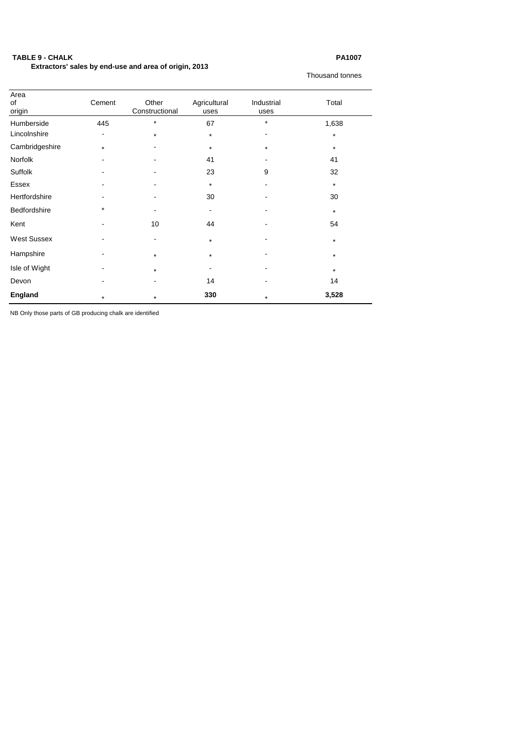# **TABLE 9 - CHALK PA1007**

 **Extractors' sales by end-use and area of origin, 2013**

Thousand tonnes

| Area<br>of<br>origin | Cement         | Other<br>Constructional | Agricultural<br>uses | Industrial<br>uses | Total   |
|----------------------|----------------|-------------------------|----------------------|--------------------|---------|
| Humberside           | 445            | $\star$                 | 67                   | $\star$            | 1,638   |
| Lincolnshire         | $\blacksquare$ | $\star$                 | $\star$              | ٠                  | $\star$ |
| Cambridgeshire       | $\star$        | ۰                       | $\star$              | $\star$            | $\star$ |
| Norfolk              |                | ۰                       | 41                   | $\sim$             | 41      |
| Suffolk              |                | ۰                       | 23                   | $\boldsymbol{9}$   | 32      |
| <b>Essex</b>         |                |                         | $\star$              |                    | $\star$ |
| Hertfordshire        |                |                         | 30                   |                    | 30      |
| Bedfordshire         | $\star$        |                         | ۰                    |                    | $\star$ |
| Kent                 |                | 10                      | 44                   |                    | 54      |
| <b>West Sussex</b>   |                |                         | $\star$              |                    | $\star$ |
| Hampshire            |                | $\star$                 | $\star$              | ۰                  | $\star$ |
| Isle of Wight        |                | $\star$                 |                      |                    | $\ast$  |
| Devon                |                | ۰                       | 14                   |                    | 14      |
| <b>England</b>       | $\star$        | $\star$                 | 330                  | $\star$            | 3,528   |

NB Only those parts of GB producing chalk are identified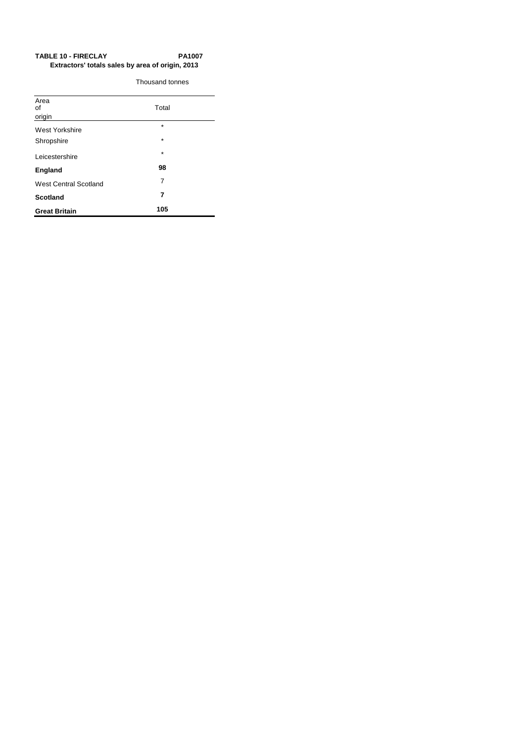# TABLE 10 - FIRECLAY PA1007  **Extractors' totals sales by area of origin, 2013**

Thousand tonnes

| Area<br>οf<br>origin         | Total   |  |
|------------------------------|---------|--|
| West Yorkshire               | $\star$ |  |
| Shropshire                   | $\star$ |  |
| Leicestershire               | $\star$ |  |
| <b>England</b>               | 98      |  |
| <b>West Central Scotland</b> | 7       |  |
| <b>Scotland</b>              | 7       |  |
| <b>Great Britain</b>         | 105     |  |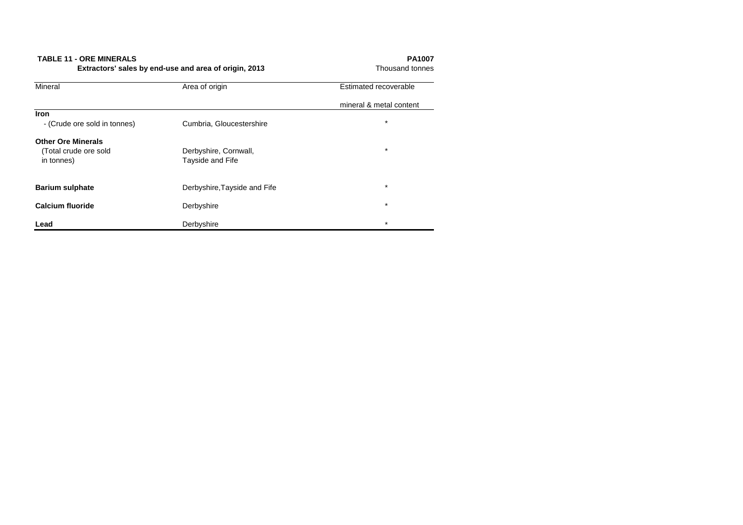| <b>Mineral</b>               | Area of origin               | Estimated recoverable   |
|------------------------------|------------------------------|-------------------------|
|                              |                              | mineral & metal content |
| Iron                         |                              |                         |
| - (Crude ore sold in tonnes) | Cumbria, Gloucestershire     | $\star$                 |
| <b>Other Ore Minerals</b>    |                              |                         |
| (Total crude ore sold        | Derbyshire, Cornwall,        | $\star$                 |
| in tonnes)                   | Tayside and Fife             |                         |
| <b>Barium sulphate</b>       | Derbyshire, Tayside and Fife | $\star$                 |
|                              |                              |                         |
| <b>Calcium fluoride</b>      | Derbyshire                   | $\star$                 |
| Lead                         | Derbyshire                   | $\star$                 |

**TABLE 11 - ORE MINERALS**<br>**Extractors' sales by end-use and area of origin, 2013** Phousand tonnes **Extractors' sales by end-use and area of origin, 2013**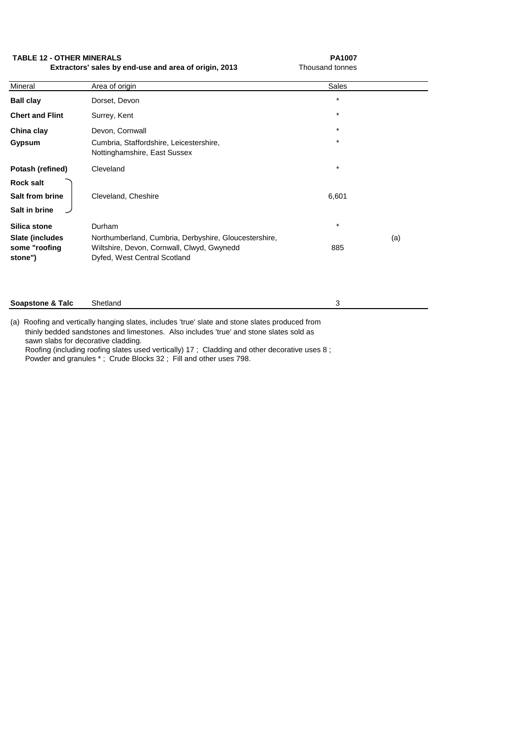**TABLE 12 - OTHER MINERALS** PA1007

**Extractors' sales by end-use and area of origin, 2013** Thousand tonnes

| Mineral                                        | Area of origin                                                                             | <b>Sales</b>       |     |
|------------------------------------------------|--------------------------------------------------------------------------------------------|--------------------|-----|
| <b>Ball clay</b><br><b>Chert and Flint</b>     | Dorset, Devon<br>Surrey, Kent                                                              | $\star$<br>$\star$ |     |
| China clay<br><b>Gypsum</b>                    | Devon, Cornwall<br>Cumbria, Staffordshire, Leicestershire,<br>Nottinghamshire, East Sussex | $\star$<br>$\star$ |     |
| <b>Potash (refined)</b><br><b>Rock salt</b>    | Cleveland                                                                                  | $\star$            |     |
| <b>Salt from brine</b><br>Salt in brine        | Cleveland, Cheshire                                                                        | 6,601              |     |
| <b>Silica stone</b><br><b>Slate (includes)</b> | Durham<br>Northumberland, Cumbria, Derbyshire, Gloucestershire,                            | $\star$            | (a) |
| some "roofing<br>stone")                       | Wiltshire, Devon, Cornwall, Clwyd, Gwynedd<br>Dyfed, West Central Scotland                 | 885                |     |
| <b>Soapstone &amp; Talc</b>                    | Shetland                                                                                   | 3                  |     |

(a) Roofing and vertically hanging slates, includes 'true' slate and stone slates produced from thinly bedded sandstones and limestones. Also includes 'true' and stone slates sold as sawn slabs for decorative cladding. Roofing (including roofing slates used vertically) 17 ; Cladding and other decorative uses 8 ;

Powder and granules \* ; Crude Blocks 32 ; Fill and other uses 798.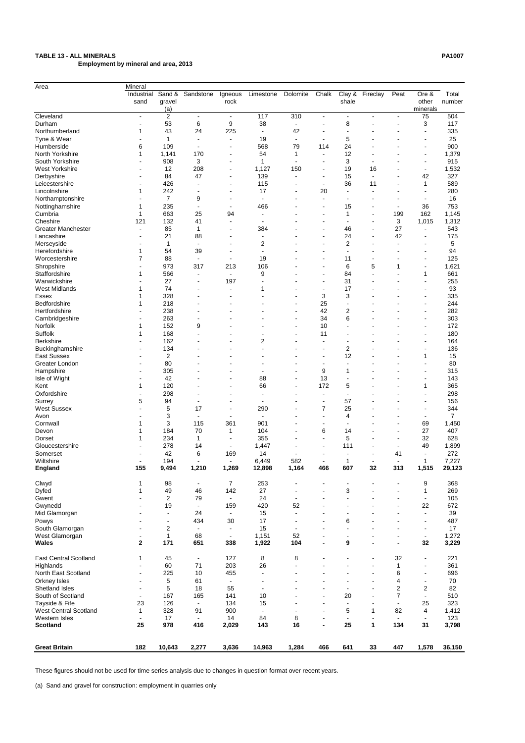# **TABLE 13 - ALL MINERALS PA1007**

 **Employment by mineral and area, 2013**

| Area                         | Mineral        |                |                          |                          |                          |                          |                          |                          |                              |                          |                              |                |
|------------------------------|----------------|----------------|--------------------------|--------------------------|--------------------------|--------------------------|--------------------------|--------------------------|------------------------------|--------------------------|------------------------------|----------------|
|                              | Industrial     | Sand &         | Sandstone                | Igneous                  | Limestone                | Dolomite                 | Chalk                    | Clay &                   | Fireclay                     | Peat                     | Ore &                        | Total          |
|                              | sand           | gravel         |                          | rock                     |                          |                          |                          | shale                    |                              |                          | other                        | number         |
|                              |                | (a)            |                          |                          |                          |                          |                          |                          |                              |                          | minerals                     |                |
| Cleveland                    |                | $\overline{2}$ | $\blacksquare$           | $\overline{\phantom{a}}$ | 117                      | 310                      | $\blacksquare$           | $\blacksquare$           | $\blacksquare$               |                          | 75                           | 504            |
| Durham                       |                | 53             | 6                        | 9                        | 38                       | $\blacksquare$           |                          | 8                        |                              |                          | 3                            | 117            |
| Northumberland               |                | 43             | 24                       | 225                      |                          | 42                       |                          |                          |                              |                          | -                            | 335            |
| Tyne & Wear                  |                | 1              |                          | $\blacksquare$           | 19                       | $\blacksquare$           | $\overline{\phantom{a}}$ | 5                        |                              |                          | $\overline{\phantom{0}}$     | 25             |
| Humberside                   | 6              | 109            |                          |                          | 568                      | 79                       | 114                      | 24                       |                              |                          | -                            | 900            |
| North Yorkshire              |                | 1,141          | 170                      |                          | 54                       | 1                        | $\overline{\phantom{a}}$ | 12                       |                              |                          | $\qquad \qquad \blacksquare$ | 1,379          |
| South Yorkshire              |                | 908            | 3                        |                          | 1                        | $\blacksquare$           |                          | 3                        |                              |                          | $\blacksquare$               | 915            |
| <b>West Yorkshire</b>        |                | 12             | 208                      |                          | 1,127                    | 150                      | ٠                        | 19                       | 16                           |                          | $\blacksquare$               | 1,532          |
| Derbyshire                   |                | 84             | 47                       | $\overline{\phantom{a}}$ | 139                      |                          | $\overline{\phantom{a}}$ | 15                       |                              |                          | 42                           | 327            |
| Leicestershire               |                | 426            |                          |                          | 115                      |                          | $\blacksquare$           | 36                       | 11                           |                          | 1                            | 589            |
| Lincolnshire                 |                | 242            |                          |                          | 17                       |                          | 20                       | $\overline{\phantom{a}}$ |                              |                          |                              | 280            |
| Northamptonshire             |                | $\overline{7}$ | 9                        |                          |                          |                          |                          |                          |                              |                          |                              | 16             |
| Nottinghamshire              |                | 235            |                          |                          | 466                      |                          | $\overline{\phantom{0}}$ | 15                       | $\overline{\phantom{a}}$     | $\overline{\phantom{a}}$ | 36                           | 753            |
| Cumbria                      |                | 663            | 25                       | 94                       |                          |                          |                          | 1                        | $\overline{\phantom{a}}$     | 199                      | 162                          | 1,145          |
| Cheshire                     | 121            | 132            | 41                       | $\overline{\phantom{0}}$ | $\overline{\phantom{a}}$ |                          |                          |                          |                              | 3                        | 1,015                        | 1,312          |
| <b>Greater Manchester</b>    |                | 85             | 1                        |                          | 384                      |                          |                          | 46                       | $\overline{\phantom{a}}$     | 27                       | $\blacksquare$               | 543            |
|                              |                |                |                          |                          |                          |                          |                          |                          |                              |                          |                              |                |
| Lancashire                   |                | 21             | 88                       |                          |                          |                          |                          | 24                       |                              | 42                       | -                            | 175            |
| Merseyside                   |                | 1              |                          |                          | 2                        |                          |                          | $\overline{c}$           |                              |                          | ۰                            | 5              |
| Herefordshire                |                | 54             | 39                       |                          |                          |                          |                          |                          |                              |                          | $\overline{\phantom{0}}$     | 94             |
| Worcestershire               |                | 88             |                          | $\overline{\phantom{a}}$ | 19                       |                          |                          | 11                       |                              |                          | -                            | 125            |
| Shropshire                   |                | 973            | 317                      | 213                      | 106                      |                          |                          | 6                        | 5                            | 1                        | $\qquad \qquad \blacksquare$ | 1,621          |
| Staffordshire                |                | 566            |                          | $\blacksquare$           | 9                        |                          |                          | 84                       |                              |                          | 1                            | 661            |
| Warwickshire                 |                | 27             |                          | 197                      |                          |                          |                          | 31                       |                              |                          | -                            | 255            |
| <b>West Midlands</b>         |                | 74             |                          | $\blacksquare$           | 1                        |                          |                          | 17                       |                              |                          | ۰                            | 93             |
| Essex                        |                | 328            |                          |                          |                          |                          | 3                        | 3                        |                              |                          | $\blacksquare$               | 335            |
| Bedfordshire                 |                | 218            |                          |                          |                          |                          | 25                       |                          |                              |                          |                              | 244            |
| Hertfordshire                |                | 238            |                          |                          |                          |                          | 42                       | $\overline{c}$           |                              |                          | ۰                            | 282            |
| Cambridgeshire               |                | 263            |                          |                          |                          |                          | 34                       | 6                        |                              |                          | $\blacksquare$               | 303            |
| Norfolk                      |                | 152            | 9                        |                          |                          |                          | 10                       |                          |                              |                          | ۰                            | 172            |
| Suffolk                      |                | 168            |                          |                          |                          |                          | 11                       |                          |                              |                          | ۰                            | 180            |
| <b>Berkshire</b>             |                | 162            |                          |                          | $\overline{2}$           |                          |                          |                          |                              |                          | $\blacksquare$               | 164            |
| Buckinghamshire              |                | 134            |                          |                          |                          |                          |                          | 2                        |                              |                          |                              | 136            |
| <b>East Sussex</b>           |                | $\overline{c}$ |                          |                          |                          |                          |                          | 12                       |                              |                          | 1                            | 15             |
| Greater London               |                | 80             |                          |                          |                          |                          |                          |                          |                              |                          |                              | 80             |
| Hampshire                    | $\overline{a}$ | 305            |                          |                          |                          | ۰                        | 9                        | 1                        |                              |                          | -                            | 315            |
| Isle of Wight                |                | 42             |                          | $\blacksquare$           | 88                       | $\blacksquare$           | 13                       |                          |                              |                          | $\qquad \qquad \blacksquare$ | 143            |
| Kent                         | 1              | 120            | $\overline{\phantom{0}}$ | $\blacksquare$           | 66                       | $\blacksquare$           | 172                      | 5                        | $\blacksquare$               |                          | 1                            | 365            |
| Oxfordshire                  |                | 298            |                          |                          |                          | ۰                        |                          | $\blacksquare$           |                              |                          | $\qquad \qquad \blacksquare$ | 298            |
| Surrey                       | 5              | 94             | $\blacksquare$           | $\blacksquare$           | $\overline{\phantom{a}}$ | $\blacksquare$           | $\overline{\phantom{a}}$ | 57                       | $\blacksquare$               |                          | $\qquad \qquad \blacksquare$ | 156            |
| <b>West Sussex</b>           |                | 5              | 17                       | $\overline{\phantom{a}}$ | 290                      | $\overline{a}$           | 7                        | 25                       | $\blacksquare$               |                          | $\blacksquare$               | 344            |
| Avon                         |                | 3              | $\overline{\phantom{a}}$ | $\overline{\phantom{a}}$ | $\overline{\phantom{a}}$ |                          | $\overline{\phantom{a}}$ | 4                        |                              |                          | $\overline{\phantom{a}}$     | $\overline{7}$ |
| Cornwall                     |                | 3              | 115                      | 361                      | 901                      |                          | $\overline{\phantom{a}}$ | $\overline{\phantom{a}}$ |                              | $\blacksquare$           | 69                           | 1,450          |
| Devon                        |                | 184            | 70                       | 1                        | 104                      | $\blacksquare$           | 6                        | 14                       | $\overline{\phantom{a}}$     | $\blacksquare$           | 27                           | 407            |
| Dorset                       |                | 234            | 1                        | $\overline{\phantom{a}}$ | 355                      |                          | $\blacksquare$           | 5                        | $\qquad \qquad \blacksquare$ | $\overline{\phantom{a}}$ | 32                           | 628            |
| Gloucestershire              |                | 278            | 14                       | $\blacksquare$           | 1,447                    |                          | $\overline{\phantom{a}}$ | 111                      | $\overline{\phantom{a}}$     | $\blacksquare$           | 49                           | 1,899          |
| Somerset                     |                | 42             | 6                        | 169                      | 14                       |                          | $\overline{\phantom{a}}$ |                          | $\overline{\phantom{a}}$     | 41                       | $\blacksquare$               | 272            |
| Wiltshire                    |                | 194            |                          |                          | 6,449                    | 582                      | $\blacksquare$           | 1                        | $\overline{\phantom{a}}$     | $\blacksquare$           | 1                            | 7,227          |
| <b>England</b>               | 155            | 9,494          | 1,210                    | 1,269                    | 12,898                   | 1,164                    | 466                      | 607                      | 32                           | 313                      | 1,515                        | 29,123         |
|                              |                |                |                          |                          |                          |                          |                          |                          |                              |                          |                              |                |
| Clwyd                        |                | 98             | ٠                        | 7                        | 253                      |                          |                          |                          |                              |                          | 9                            | 368            |
| Dyfed                        |                | 49             | 46                       | 142                      | 27                       | $\blacksquare$           |                          | 3                        |                              |                          | 1                            | 269            |
| Gwent                        |                | $\overline{2}$ | 79                       | $\blacksquare$           | 24                       | $\blacksquare$           |                          |                          |                              |                          |                              | 105            |
| Gwynedd                      |                | 19             | $\blacksquare$           | 159                      | 420                      | 52                       |                          |                          |                              |                          | 22                           | 672            |
| Mid Glamorgan                |                |                | 24                       | $\sim$                   | 15                       | $\blacksquare$           |                          |                          |                              |                          | $\blacksquare$               | 39             |
| Powys                        |                |                | 434                      | 30                       | 17                       | $\blacksquare$           | $\overline{\phantom{0}}$ | 6                        |                              |                          | -                            | 487            |
| South Glamorgan              |                | 2              | $\overline{\phantom{a}}$ | $\blacksquare$           | 15                       | $\overline{\phantom{a}}$ |                          |                          |                              |                          | $\overline{\phantom{a}}$     | 17             |
| West Glamorgan               |                | 1              | 68                       | $\blacksquare$           | 1,151                    | 52                       |                          | $\overline{\phantom{a}}$ | $\blacksquare$               | $\blacksquare$           | ۰                            | 1,272          |
| <b>Wales</b>                 | $\mathbf 2$    | 171            | 651                      | 338                      | 1,922                    | 104                      | $\blacksquare$           | 9                        | $\blacksquare$               | $\blacksquare$           | 32                           | 3,229          |
|                              |                |                |                          |                          |                          |                          |                          |                          |                              |                          |                              |                |
| <b>East Central Scotland</b> | 1              | 45             | $\blacksquare$           | 127                      | 8                        | 8                        |                          |                          | $\qquad \qquad \blacksquare$ | 32                       | ٠                            | 221            |
| Highlands                    |                | 60             | 71                       | 203                      | 26                       |                          |                          |                          | $\blacksquare$               | 1                        | -                            | 361            |
| North East Scotland          |                | 225            | 10                       | 455                      |                          |                          |                          |                          | $\qquad \qquad \blacksquare$ | 6                        | $\qquad \qquad \blacksquare$ | 696            |
| Orkney Isles                 | ٠              | 5              | 61                       | $\blacksquare$           |                          |                          |                          |                          | $\qquad \qquad \blacksquare$ | 4                        | $\qquad \qquad \blacksquare$ | 70             |
| Shetland Isles               | $\blacksquare$ | 5              | 18                       | 55                       |                          |                          |                          |                          | $\overline{\phantom{a}}$     | $\overline{c}$           | 2                            | 82             |
| South of Scotland            |                | 167            | 165                      | 141                      | 10                       |                          |                          | 20                       | $\overline{\phantom{a}}$     | 7                        |                              | 510            |
| Tayside & Fife               | 23             | 126            | $\blacksquare$           | 134                      | 15                       |                          | $\blacksquare$           | $\blacksquare$           | $\overline{\phantom{a}}$     | $\blacksquare$           | 25                           | 323            |
| <b>West Central Scotland</b> | 1              | 328            | 91                       | 900                      |                          |                          | $\overline{\phantom{a}}$ | 5                        | 1                            | 82                       | 4                            | 1,412          |
| Western Isles                |                | 17             | $\blacksquare$           | 14                       | 84                       | 8                        | $\overline{\phantom{a}}$ | $\blacksquare$           |                              | $\blacksquare$           | $\overline{\phantom{a}}$     | 123            |
| <b>Scotland</b>              | 25             | 978            | 416                      | 2,029                    | 143                      | 16                       | $\blacksquare$           | 25                       | $\mathbf{1}$                 | 134                      | 31                           | 3,798          |
|                              |                |                |                          |                          |                          |                          |                          |                          |                              |                          |                              |                |
|                              |                |                |                          |                          |                          |                          |                          |                          |                              |                          |                              |                |
| <b>Great Britain</b>         | 182            | 10,643         | 2,277                    | 3,636                    | 14,963                   | 1,284                    | 466                      | 641                      | 33                           | 447                      | 1,578                        | 36,150         |

These figures should not be used for time series analysis due to changes in question format over recent years.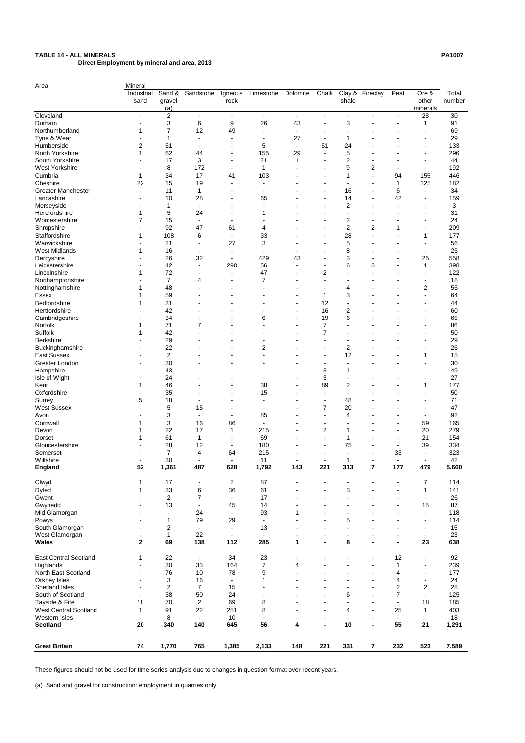# **TABLE 14 - ALL MINERALS PA1007**

 **Direct Employment by mineral and area, 2013**

| Area                                           | Mineral                  |                      |                          |                          |                                 |                |                          |                                |                                  |                                  |                          |            |
|------------------------------------------------|--------------------------|----------------------|--------------------------|--------------------------|---------------------------------|----------------|--------------------------|--------------------------------|----------------------------------|----------------------------------|--------------------------|------------|
|                                                | Industrial               | Sand &               | Sandstone                | Igneous                  | Limestone                       | Dolomite       | Chalk                    |                                | Clay & Fireclay                  | Peat                             | Ore &                    | Total      |
|                                                | sand                     | gravel               |                          | rock                     |                                 |                |                          | shale                          |                                  |                                  | other                    | number     |
|                                                |                          | (a)                  |                          |                          |                                 |                |                          |                                |                                  |                                  | minerals                 |            |
| Cleveland                                      | $\sim$                   | $\overline{2}$       | $\blacksquare$           | $\blacksquare$           | $\sim$                          | $\blacksquare$ | $\blacksquare$           | $\blacksquare$                 |                                  | $\blacksquare$                   | 28                       | 30         |
| Durham                                         |                          | 3                    | 6                        | 9                        | 26                              | 43             |                          | 3                              |                                  |                                  | 1                        | 91         |
| Northumberland                                 |                          | $\overline{7}$       | 12                       | 49                       |                                 |                |                          |                                |                                  |                                  |                          | 69         |
| Tyne & Wear                                    |                          | 1                    |                          |                          |                                 | 27             |                          | 1                              |                                  |                                  |                          | 29         |
| Humberside                                     | 2                        | 51                   |                          |                          | 5                               | $\blacksquare$ | 51                       | 24                             |                                  |                                  | $\blacksquare$           | 133        |
| North Yorkshire                                |                          | 62                   | 44                       |                          | 155                             | 29             |                          | 5                              |                                  |                                  |                          | 296        |
| South Yorkshire                                |                          | 17                   | 3                        |                          | 21                              | $\mathbf 1$    |                          | 2                              |                                  |                                  | $\blacksquare$           | 44         |
| <b>West Yorkshire</b>                          |                          | 8                    | 172                      |                          | 1                               |                |                          | 9                              | $\overline{c}$                   |                                  | $\blacksquare$           | 192        |
| Cumbria                                        | 1                        | 34                   | 17                       | 41                       | 103                             |                |                          | 1                              |                                  | 94                               | 155                      | 446        |
| Cheshire                                       | 22                       | 15                   | 19                       |                          |                                 |                |                          |                                |                                  | 1                                | 125                      | 182        |
| <b>Greater Manchester</b>                      |                          | 11                   | 1                        |                          |                                 |                |                          | 16                             |                                  | 6                                | $\blacksquare$           | 34         |
| Lancashire                                     |                          | 10                   | 28                       |                          | 65                              |                |                          | 14                             |                                  | 42                               |                          | 159        |
| Merseyside                                     |                          | 1                    |                          |                          |                                 |                |                          | 2                              |                                  |                                  |                          | 3          |
| Herefordshire                                  |                          | 5                    | 24                       |                          |                                 |                |                          |                                |                                  |                                  |                          | 31         |
| Worcestershire                                 |                          | 15                   | $\overline{\phantom{a}}$ |                          |                                 |                |                          | 2                              |                                  |                                  |                          | 24         |
| Shropshire                                     |                          | 92                   | 47                       | 61                       | 4                               |                |                          | 2                              | $\boldsymbol{2}$                 | 1                                |                          | 209        |
| Staffordshire                                  |                          | 108                  | 6                        |                          | 33                              |                |                          | 28                             |                                  |                                  | 1                        | 177        |
| Warwickshire                                   |                          | 21                   |                          | 27                       | 3                               |                |                          | 5                              |                                  |                                  |                          | 56         |
| <b>West Midlands</b>                           |                          | 16                   |                          |                          |                                 |                |                          | 8                              |                                  |                                  | $\overline{\phantom{a}}$ | 25         |
| Derbyshire                                     |                          | 26                   | 32                       |                          | 429                             | 43             |                          | 3                              |                                  |                                  | 25                       | 558        |
| Leicestershire                                 |                          | 42                   | $\overline{\phantom{a}}$ | 290                      | 56                              |                |                          | 6                              | 3                                |                                  | 1                        | 398        |
| Lincolnshire                                   |                          | 72                   |                          |                          | 47                              |                | 2                        |                                |                                  |                                  |                          | 122        |
| Northamptonshire                               |                          | 7                    | 4                        |                          | 7                               |                |                          |                                |                                  |                                  |                          | 18         |
| Nottinghamshire                                |                          | 48                   |                          |                          |                                 |                |                          | 4                              |                                  |                                  | 2                        | 55         |
| <b>Essex</b>                                   |                          | 59                   |                          |                          |                                 |                | 1                        | 3                              |                                  |                                  |                          | 64         |
| Bedfordshire                                   |                          | 31                   |                          |                          |                                 |                | 12                       |                                |                                  |                                  |                          | 44         |
| Hertfordshire                                  |                          | 42                   |                          |                          |                                 |                | 16                       | $\overline{\mathbf{c}}$        |                                  |                                  |                          | 60         |
| Cambridgeshire                                 |                          | 34                   |                          |                          | 6                               |                | 19                       | 6                              |                                  |                                  |                          | 65         |
| Norfolk                                        |                          | 71                   | 7                        |                          |                                 |                | 7                        |                                |                                  |                                  |                          | 86         |
| Suffolk                                        |                          | 42                   |                          |                          |                                 |                | 7                        |                                |                                  |                                  |                          | 50         |
| <b>Berkshire</b>                               |                          | 29                   |                          |                          |                                 |                |                          |                                |                                  |                                  |                          | 29         |
| Buckinghamshire                                |                          | 22                   |                          |                          | $\overline{c}$                  |                |                          | $\overline{\mathbf{c}}$        |                                  |                                  |                          | 26         |
| <b>East Sussex</b>                             |                          | $\overline{2}$       |                          |                          |                                 |                |                          | 12                             |                                  |                                  | 1                        | 15         |
| Greater London                                 |                          | 30                   | $\overline{\phantom{0}}$ |                          | $\overline{\phantom{0}}$        |                |                          |                                |                                  |                                  |                          | 30         |
| Hampshire                                      |                          | 43                   |                          |                          |                                 |                | 5                        | 1                              |                                  |                                  | $\blacksquare$           | 49         |
| Isle of Wight                                  |                          | 24                   |                          |                          |                                 |                | 3                        |                                |                                  |                                  | $\blacksquare$           | 27         |
| Kent                                           | 1                        | 46                   |                          | ٠                        | 38                              |                | 89                       | $\overline{\mathbf{c}}$        |                                  |                                  | 1                        | 177        |
| Oxfordshire                                    |                          | 35                   |                          | $\blacksquare$           | 15                              |                |                          | $\blacksquare$                 |                                  |                                  | $\blacksquare$           | 50         |
| Surrey                                         | 5                        | 18                   |                          |                          |                                 |                |                          | 48                             |                                  |                                  | $\overline{\phantom{a}}$ | 71         |
| <b>West Sussex</b>                             |                          | 5                    | 15                       | $\blacksquare$           | $\overline{\phantom{a}}$        |                | 7                        | 20                             |                                  |                                  | $\blacksquare$           | 47         |
| Avon                                           |                          | 3                    | $\blacksquare$           | $\blacksquare$           | 85                              |                |                          | 4                              |                                  |                                  | $\overline{\phantom{a}}$ | 92         |
| Cornwall                                       | 1                        | 3                    | 16                       | 86                       | $\overline{\phantom{a}}$        |                |                          |                                |                                  | $\blacksquare$                   | 59                       | 165        |
| Devon                                          | 1                        | 22                   | 17                       | 1                        | 215                             |                | $\overline{c}$           | 1                              |                                  | ÷                                | 20                       | 279        |
| Dorset                                         | 1                        | 61                   | 1                        | $\blacksquare$           | 69                              |                |                          | 1                              |                                  | $\blacksquare$                   | 21                       | 154        |
| Gloucestershire                                |                          | 28                   | 12                       | $\blacksquare$           | 180                             |                |                          | 75                             |                                  | $\blacksquare$                   | 39                       | 334        |
| Somerset                                       | $\overline{\phantom{a}}$ | $\overline{7}$       | $\overline{\mathbf{4}}$  | 64                       | 215                             | $\blacksquare$ | $\overline{\phantom{a}}$ | $\blacksquare$                 | $\blacksquare$                   | 33                               | $\blacksquare$           | 323        |
| Wiltshire                                      | $\blacksquare$           | 30                   | $\blacksquare$           | $\sim$                   | 11                              | $\blacksquare$ | $\overline{\phantom{a}}$ | 1                              | $\blacksquare$                   | $\blacksquare$                   | $\blacksquare$           | 42         |
| <b>England</b>                                 | 52                       | 1,361                | 487                      | 628                      | 1,792                           | 143            | 221                      | 313                            | $\overline{\mathbf{r}}$          | 177                              | 479                      | 5,660      |
|                                                |                          |                      |                          |                          |                                 |                |                          |                                |                                  |                                  |                          |            |
| Clwyd                                          | 1                        | 17                   | $\blacksquare$           | 2                        | 87                              |                |                          |                                |                                  | $\overline{a}$                   | 7                        | 114        |
| Dyfed                                          | 1                        | 33<br>$\overline{2}$ | 6<br>$\overline{7}$      | 36                       | 61<br>17                        |                |                          | 3                              |                                  |                                  | 1                        | 141<br>26  |
| Gwent                                          |                          |                      |                          | $\blacksquare$           | 14                              |                |                          |                                |                                  |                                  | $\overline{\phantom{a}}$ |            |
| Gwynedd                                        |                          | 13                   | $\blacksquare$           | 45                       |                                 |                |                          |                                |                                  |                                  | 15                       | 87         |
| Mid Glamorgan                                  |                          | ٠                    | 24<br>79                 | $\blacksquare$           | 93                              | 1              |                          |                                |                                  |                                  | $\overline{\phantom{a}}$ | 118        |
| Powys                                          |                          | $\mathbf 1$          |                          | 29                       | $\blacksquare$                  |                |                          | 5                              |                                  |                                  | $\blacksquare$           | 114        |
| South Glamorgan                                | $\overline{\phantom{a}}$ | $\overline{2}$       | $\blacksquare$           | $\overline{\phantom{a}}$ | 13                              |                |                          |                                |                                  |                                  | $\overline{\phantom{a}}$ | 15         |
| West Glamorgan<br><b>Wales</b>                 | $\blacksquare$<br>2      | $\mathbf{1}$<br>69   | 22<br>138                | $\blacksquare$<br>112    | $\overline{\phantom{a}}$<br>285 | 1              |                          | 8                              |                                  | $\blacksquare$<br>$\blacksquare$ | $\blacksquare$<br>23     | 23<br>638  |
|                                                |                          |                      |                          |                          |                                 |                |                          |                                |                                  |                                  |                          |            |
| <b>East Central Scotland</b>                   |                          |                      |                          | 34                       | 23                              |                |                          |                                |                                  | 12                               |                          |            |
|                                                | 1                        | 22                   | $\overline{\phantom{a}}$ |                          |                                 |                |                          |                                |                                  |                                  | $\overline{\phantom{a}}$ | 92         |
| Highlands                                      | $\sim$                   | 30                   | 33                       | 164                      | $\overline{7}$                  | 4              |                          |                                |                                  | 1                                | $\blacksquare$           | 239        |
| North East Scotland                            | $\sim$                   | 76                   | 10                       | 78                       | 9                               |                |                          |                                |                                  | 4                                | $\overline{\phantom{a}}$ | 177        |
| Orkney Isles<br><b>Shetland Isles</b>          | $\sim$                   | 3                    | 16                       | $\blacksquare$           |                                 |                |                          |                                |                                  | 4                                | $\blacksquare$           | 24         |
|                                                | $\overline{\phantom{a}}$ | $\overline{2}$<br>38 | $\overline{7}$           | 15                       |                                 |                |                          |                                |                                  | $\overline{c}$<br>$\overline{7}$ | $\overline{2}$           | 28         |
| South of Scotland                              | $\blacksquare$           | 70                   | 50                       | 24<br>69                 |                                 |                |                          | 6                              |                                  |                                  | $\blacksquare$           | 125<br>185 |
| Tayside & Fife<br><b>West Central Scotland</b> | 18                       | 91                   | $\overline{c}$<br>22     | 251                      | 8<br>8                          |                |                          |                                | $\blacksquare$<br>$\blacksquare$ | $\blacksquare$<br>25             | 18<br>1                  | 403        |
| Western Isles                                  | 1                        | 8                    |                          | 10                       |                                 |                |                          | 4                              |                                  |                                  |                          | 18         |
| <b>Scotland</b>                                | 20                       | 340                  | $\sim$<br>140            | 645                      | 56                              | 4              | $\overline{\phantom{a}}$ | $\overline{\phantom{a}}$<br>10 |                                  | $\blacksquare$<br>55             | $\blacksquare$<br>21     | 1,291      |
|                                                |                          |                      |                          |                          |                                 |                |                          |                                |                                  |                                  |                          |            |
|                                                |                          |                      |                          |                          |                                 |                |                          |                                |                                  |                                  |                          |            |
| <b>Great Britain</b>                           | ${\bf 74}$               | 1,770                | 765                      | 1,385                    | 2,133                           | 148            | 221                      | 331                            | $\overline{\mathbf{7}}$          | 232                              | 523                      | 7,589      |

These figures should not be used for time series analysis due to changes in question format over recent years.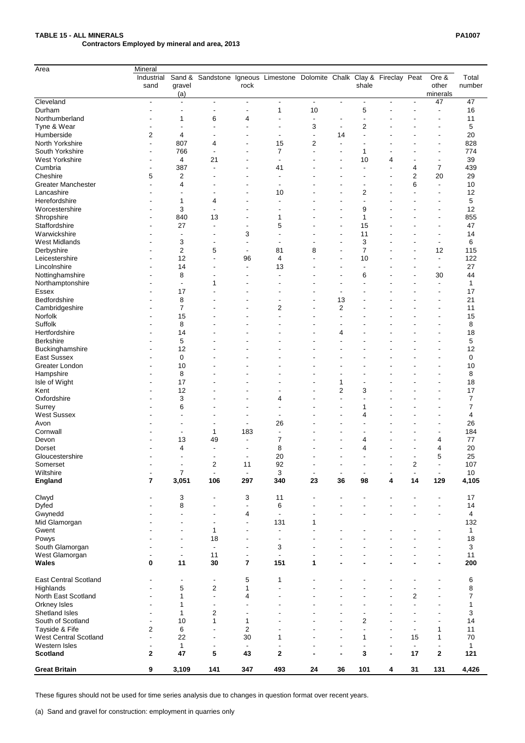# **TABLE 15 - ALL MINERALS PA1007 Contractors Employed by mineral and area, 2013**

| Area                      | Mineral                 |                          |                |                          |                                                                 |                          |                |                |   |                          |                          |              |
|---------------------------|-------------------------|--------------------------|----------------|--------------------------|-----------------------------------------------------------------|--------------------------|----------------|----------------|---|--------------------------|--------------------------|--------------|
|                           | Industrial              | Sand &                   |                |                          | Sandstone Igneous Limestone Dolomite Chalk Clay & Fireclay Peat |                          |                |                |   |                          | Ore &                    | Total        |
|                           | sand                    | gravel                   |                | rock                     |                                                                 |                          |                | shale          |   |                          | other                    | number       |
|                           |                         | (a)                      |                |                          |                                                                 |                          |                |                |   |                          | minerals                 |              |
| Cleveland                 | $\blacksquare$          |                          |                | $\blacksquare$           | $\blacksquare$                                                  | $\blacksquare$           | $\blacksquare$ | $\blacksquare$ |   | $\overline{\phantom{a}}$ | 47                       | 47           |
| Durham                    |                         |                          |                |                          |                                                                 | 10                       |                | 5              |   |                          |                          | 16           |
| Northumberland            |                         |                          | 6              | 4                        |                                                                 |                          |                |                |   |                          |                          | 11           |
| Tyne & Wear               |                         |                          |                |                          |                                                                 | 3                        |                | 2              |   |                          |                          | 5            |
| Humberside                | 2                       | 4                        |                |                          |                                                                 | $\overline{\phantom{a}}$ | 14             |                |   |                          | $\overline{\phantom{a}}$ | 20           |
| North Yorkshire           |                         | 807                      | 4              |                          | 15                                                              | 2                        |                |                |   |                          | $\overline{\phantom{0}}$ | 828          |
| South Yorkshire           |                         |                          |                |                          |                                                                 |                          |                |                |   |                          |                          |              |
|                           |                         | 766                      |                |                          |                                                                 |                          |                |                |   |                          | $\overline{\phantom{a}}$ | 774          |
| <b>West Yorkshire</b>     |                         | 4                        | 21             |                          |                                                                 |                          |                | 10             | 4 |                          |                          | 39           |
| Cumbria                   |                         | 387                      |                |                          | 41                                                              |                          |                |                |   | 4                        | $\overline{7}$           | 439          |
| Cheshire                  | 5                       | $\overline{2}$           |                |                          |                                                                 |                          |                |                |   | $\overline{2}$           | 20                       | 29           |
| <b>Greater Manchester</b> |                         | 4                        |                |                          |                                                                 |                          |                |                |   | 6                        |                          | 10           |
| Lancashire                |                         |                          |                |                          | 10                                                              |                          |                | $\overline{c}$ |   |                          |                          | 12           |
| Herefordshire             |                         |                          | 4              |                          |                                                                 |                          |                |                |   |                          |                          | 5            |
| Worcestershire            |                         | 3                        |                |                          |                                                                 |                          |                | 9              |   |                          |                          | 12           |
| Shropshire                |                         | 840                      | 13             |                          |                                                                 |                          |                |                |   |                          |                          | 855          |
| Staffordshire             |                         | 27                       |                |                          | 5                                                               |                          |                | 15             |   |                          |                          | 47           |
| Warwickshire              |                         |                          |                | 3                        |                                                                 |                          |                | 11             |   |                          |                          | 14           |
| <b>West Midlands</b>      |                         | 3                        |                |                          |                                                                 |                          |                | 3              |   |                          |                          | 6            |
| Derbyshire                |                         | $\overline{2}$           | 5              | $\overline{\phantom{a}}$ | 81                                                              | 8                        |                |                |   |                          | 12                       | 115          |
| Leicestershire            |                         | 12                       |                | 96                       | 4                                                               |                          |                | 10             |   |                          | $\overline{\phantom{a}}$ | 122          |
| Lincolnshire              |                         | 14                       |                | $\overline{\phantom{a}}$ | 13                                                              |                          |                |                |   |                          | $\overline{\phantom{a}}$ | 27           |
|                           |                         | 8                        |                |                          |                                                                 |                          |                | 6              |   |                          | 30                       | 44           |
| Nottinghamshire           |                         |                          | 1              |                          |                                                                 |                          |                |                |   |                          |                          |              |
| Northamptonshire          |                         |                          |                |                          |                                                                 |                          |                |                |   |                          |                          | 1            |
| <b>Essex</b>              |                         | 17                       |                |                          |                                                                 |                          |                |                |   |                          |                          | 17           |
| Bedfordshire              |                         | 8                        |                |                          |                                                                 |                          | 13             |                |   |                          | ٠                        | 21           |
| Cambridgeshire            |                         |                          |                |                          | 2                                                               |                          | 2              |                |   |                          |                          | 11           |
| Norfolk                   |                         | 15                       |                |                          |                                                                 |                          |                |                |   |                          |                          | 15           |
| Suffolk                   |                         | 8                        |                |                          |                                                                 |                          |                |                |   |                          |                          | 8            |
| Hertfordshire             |                         | 14                       |                |                          |                                                                 |                          | 4              |                |   |                          |                          | 18           |
| <b>Berkshire</b>          |                         | 5                        |                |                          |                                                                 |                          |                |                |   |                          | $\overline{\phantom{0}}$ | 5            |
| Buckinghamshire           |                         | 12                       |                |                          |                                                                 |                          |                |                |   |                          |                          | 12           |
| <b>East Sussex</b>        |                         | $\pmb{0}$                |                |                          |                                                                 |                          |                |                |   |                          |                          | $\pmb{0}$    |
| Greater London            |                         | 10                       |                |                          |                                                                 |                          |                |                |   |                          |                          | 10           |
| Hampshire                 |                         | 8                        |                |                          |                                                                 |                          |                |                |   |                          |                          | 8            |
| Isle of Wight             |                         | 17                       |                |                          |                                                                 |                          | 1              |                |   |                          |                          | 18           |
| Kent                      |                         | 12                       |                |                          |                                                                 |                          | $\overline{2}$ | 3              |   |                          |                          | 17           |
| Oxfordshire               |                         | $\sqrt{3}$               |                |                          | 4                                                               |                          |                |                |   |                          |                          | 7            |
|                           |                         | $\,6$                    |                |                          |                                                                 |                          |                |                |   |                          |                          | 7            |
| Surrey                    |                         |                          |                |                          |                                                                 |                          |                |                |   |                          |                          |              |
| <b>West Sussex</b>        |                         |                          |                |                          |                                                                 |                          |                | 4              |   |                          |                          | 4            |
| Avon                      |                         |                          |                | $\overline{\phantom{a}}$ | 26                                                              |                          |                |                |   |                          |                          | 26           |
| Cornwall                  |                         |                          | 1              | 183                      |                                                                 |                          |                |                |   |                          |                          | 184          |
| Devon                     |                         | 13                       | 49             |                          | 7                                                               |                          |                | 4              |   |                          | 4                        | 77           |
| <b>Dorset</b>             |                         | $\overline{\mathcal{A}}$ |                |                          | 8                                                               |                          |                | 4              |   |                          | $\overline{\mathcal{A}}$ | $20\,$       |
| Gloucestershire           |                         |                          |                | $\overline{\phantom{a}}$ | 20                                                              |                          |                |                |   |                          | 5                        | 25           |
| Somerset                  |                         |                          | $\overline{2}$ | 11                       | 92                                                              |                          |                |                |   | $\overline{2}$           |                          | 107          |
| Wiltshire                 |                         | $\overline{7}$           |                |                          | 3                                                               |                          |                |                |   | $\blacksquare$           |                          | 10           |
| <b>England</b>            | $\overline{\mathbf{r}}$ | 3,051                    | 106            | 297                      | 340                                                             | 23                       | 36             | 98             | 4 | 14                       | 129                      | 4,105        |
| Clwyd                     |                         | 3                        |                | 3                        | 11                                                              |                          |                |                |   |                          |                          | 17           |
| <b>Dyfed</b>              |                         | 8                        |                |                          | $\,6$                                                           |                          |                |                |   |                          |                          | 14           |
| Gwynedd                   |                         |                          |                | 4                        |                                                                 |                          |                |                |   |                          |                          | 4            |
| Mid Glamorgan             |                         |                          |                |                          | 131                                                             |                          |                |                |   |                          |                          | 132          |
|                           |                         |                          | 1              |                          |                                                                 |                          |                |                |   |                          |                          |              |
| Gwent                     |                         |                          |                |                          |                                                                 |                          |                |                |   |                          |                          | $\mathbf{1}$ |
| Powys                     |                         |                          | 18             |                          |                                                                 |                          |                |                |   |                          |                          | 18           |
| South Glamorgan           |                         |                          |                |                          | 3                                                               |                          |                |                |   |                          |                          | 3            |
| West Glamorgan            |                         |                          | 11             |                          |                                                                 |                          |                |                |   |                          |                          | 11           |

| <b>Wales</b>                 | 0 | 11    | 30     |                          | 151                      |    |                          |     |                          |                          |                          | 200   |
|------------------------------|---|-------|--------|--------------------------|--------------------------|----|--------------------------|-----|--------------------------|--------------------------|--------------------------|-------|
| <b>East Central Scotland</b> | - |       |        | 5                        |                          |    |                          |     |                          |                          |                          | 6     |
| Highlands                    |   | 5     | 2      |                          | -                        |    |                          |     |                          |                          |                          | O.    |
| North East Scotland          | - |       | $\sim$ | 4                        | $\overline{\phantom{0}}$ |    | $\overline{\phantom{0}}$ | -   |                          | 2                        | $\overline{\phantom{a}}$ |       |
| Orkney Isles                 | - |       |        | $\overline{\phantom{a}}$ | -                        |    | $\overline{\phantom{0}}$ | -   |                          | $\overline{\phantom{0}}$ | $\overline{\phantom{0}}$ |       |
| Shetland Isles               |   |       |        |                          |                          |    |                          |     |                          |                          |                          |       |
| South of Scotland            |   | 10    |        |                          |                          |    | $\,$                     | 2   |                          |                          |                          | 14    |
| Tayside & Fife               | າ | 6     |        |                          |                          |    | $\overline{\phantom{0}}$ | -   | $\overline{\phantom{0}}$ |                          |                          | 11    |
| <b>West Central Scotland</b> |   | 22    |        | 30                       |                          |    |                          |     | $\overline{\phantom{0}}$ | 15                       |                          | 70    |
| Western Isles                |   |       |        |                          |                          |    | $\overline{\phantom{0}}$ |     |                          |                          |                          |       |
| <b>Scotland</b>              |   | 47    | 5.     | 43                       | 2                        |    | $\blacksquare$           |     |                          | 17                       | 2                        | 121   |
| <b>Great Britain</b>         | 9 | 3,109 | 141    | 347                      | 493                      | 24 | 36                       | 101 | 4                        | 31                       | 131                      | 4,426 |

These figures should not be used for time series analysis due to changes in question format over recent years.